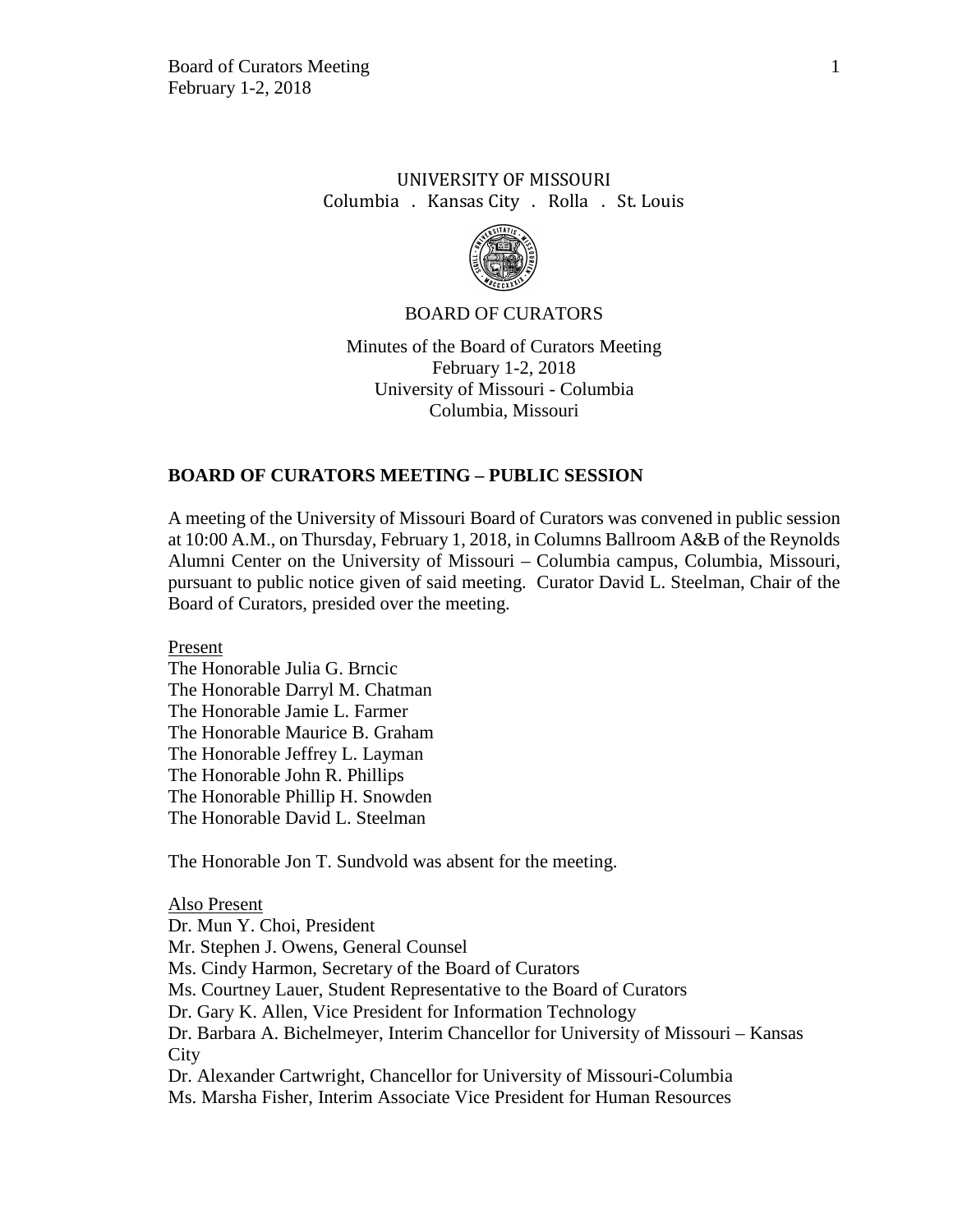# UNIVERSITY OF MISSOURI Columbia . Kansas City . Rolla . St. Louis



### BOARD OF CURATORS

Minutes of the Board of Curators Meeting February 1-2, 2018 University of Missouri - Columbia Columbia, Missouri

### **BOARD OF CURATORS MEETING – PUBLIC SESSION**

A meeting of the University of Missouri Board of Curators was convened in public session at 10:00 A.M., on Thursday, February 1, 2018, in Columns Ballroom A&B of the Reynolds Alumni Center on the University of Missouri – Columbia campus, Columbia, Missouri, pursuant to public notice given of said meeting. Curator David L. Steelman, Chair of the Board of Curators, presided over the meeting.

Present

The Honorable Julia G. Brncic The Honorable Darryl M. Chatman The Honorable Jamie L. Farmer The Honorable Maurice B. Graham The Honorable Jeffrey L. Layman The Honorable John R. Phillips The Honorable Phillip H. Snowden The Honorable David L. Steelman

The Honorable Jon T. Sundvold was absent for the meeting.

Also Present Dr. Mun Y. Choi, President Mr. Stephen J. Owens, General Counsel Ms. Cindy Harmon, Secretary of the Board of Curators Ms. Courtney Lauer, Student Representative to the Board of Curators Dr. Gary K. Allen, Vice President for Information Technology Dr. Barbara A. Bichelmeyer, Interim Chancellor for University of Missouri – Kansas City Dr. Alexander Cartwright, Chancellor for University of Missouri-Columbia Ms. Marsha Fisher, Interim Associate Vice President for Human Resources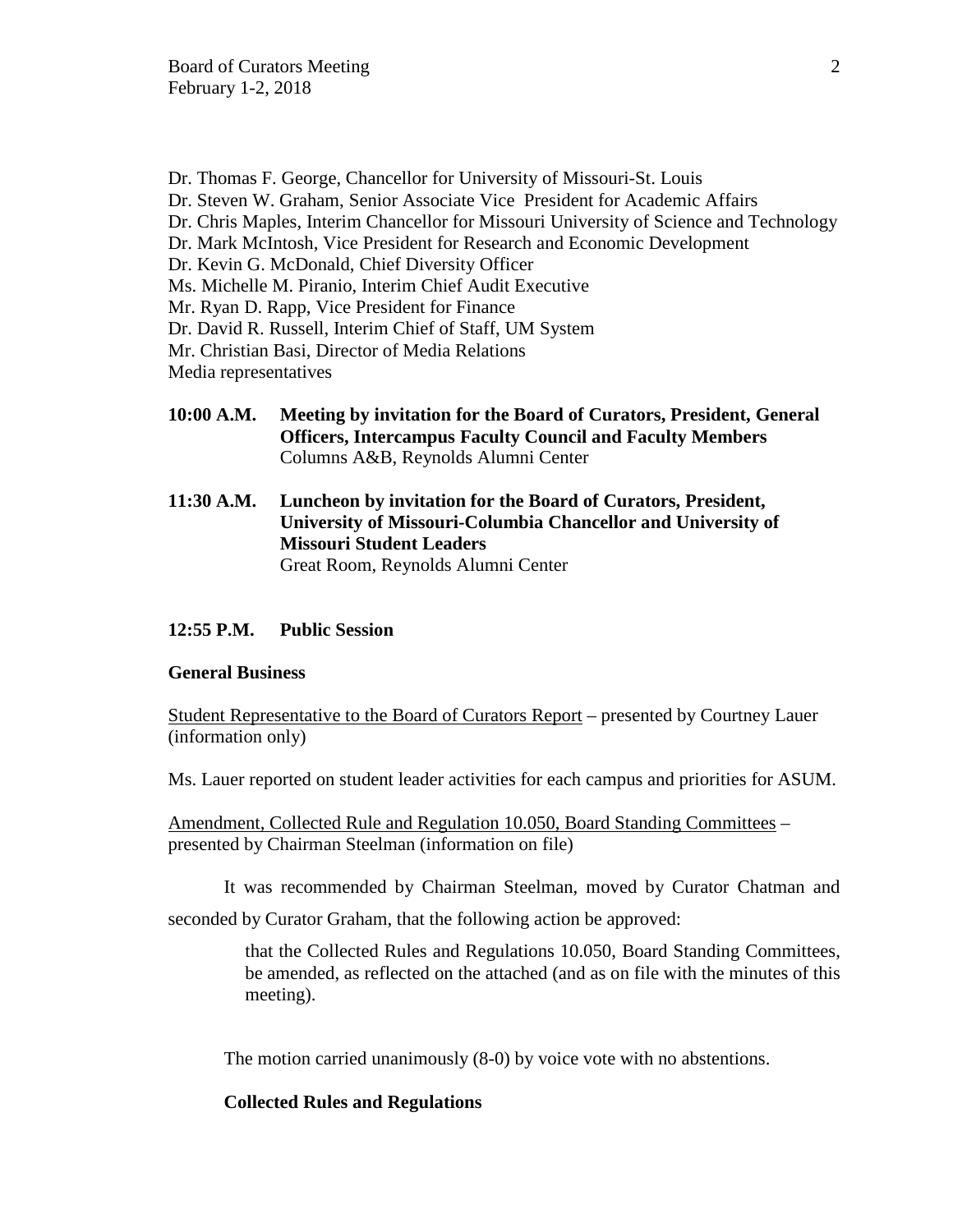Dr. Thomas F. George, Chancellor for University of Missouri-St. Louis Dr. Steven W. Graham, Senior Associate Vice President for Academic Affairs Dr. Chris Maples, Interim Chancellor for Missouri University of Science and Technology Dr. Mark McIntosh, Vice President for Research and Economic Development Dr. Kevin G. McDonald, Chief Diversity Officer Ms. Michelle M. Piranio, Interim Chief Audit Executive Mr. Ryan D. Rapp, Vice President for Finance Dr. David R. Russell, Interim Chief of Staff, UM System Mr. Christian Basi, Director of Media Relations Media representatives

- **10:00 A.M. Meeting by invitation for the Board of Curators, President, General Officers, Intercampus Faculty Council and Faculty Members** Columns A&B, Reynolds Alumni Center
- **11:30 A.M. Luncheon by invitation for the Board of Curators, President, University of Missouri-Columbia Chancellor and University of Missouri Student Leaders** Great Room, Reynolds Alumni Center

### **12:55 P.M. Public Session**

### **General Business**

Student Representative to the Board of Curators Report – presented by Courtney Lauer (information only)

Ms. Lauer reported on student leader activities for each campus and priorities for ASUM.

Amendment, Collected Rule and Regulation 10.050, Board Standing Committees – presented by Chairman Steelman (information on file)

It was recommended by Chairman Steelman, moved by Curator Chatman and

seconded by Curator Graham, that the following action be approved:

that the Collected Rules and Regulations 10.050, Board Standing Committees, be amended, as reflected on the attached (and as on file with the minutes of this meeting).

The motion carried unanimously (8-0) by voice vote with no abstentions.

### **Collected Rules and Regulations**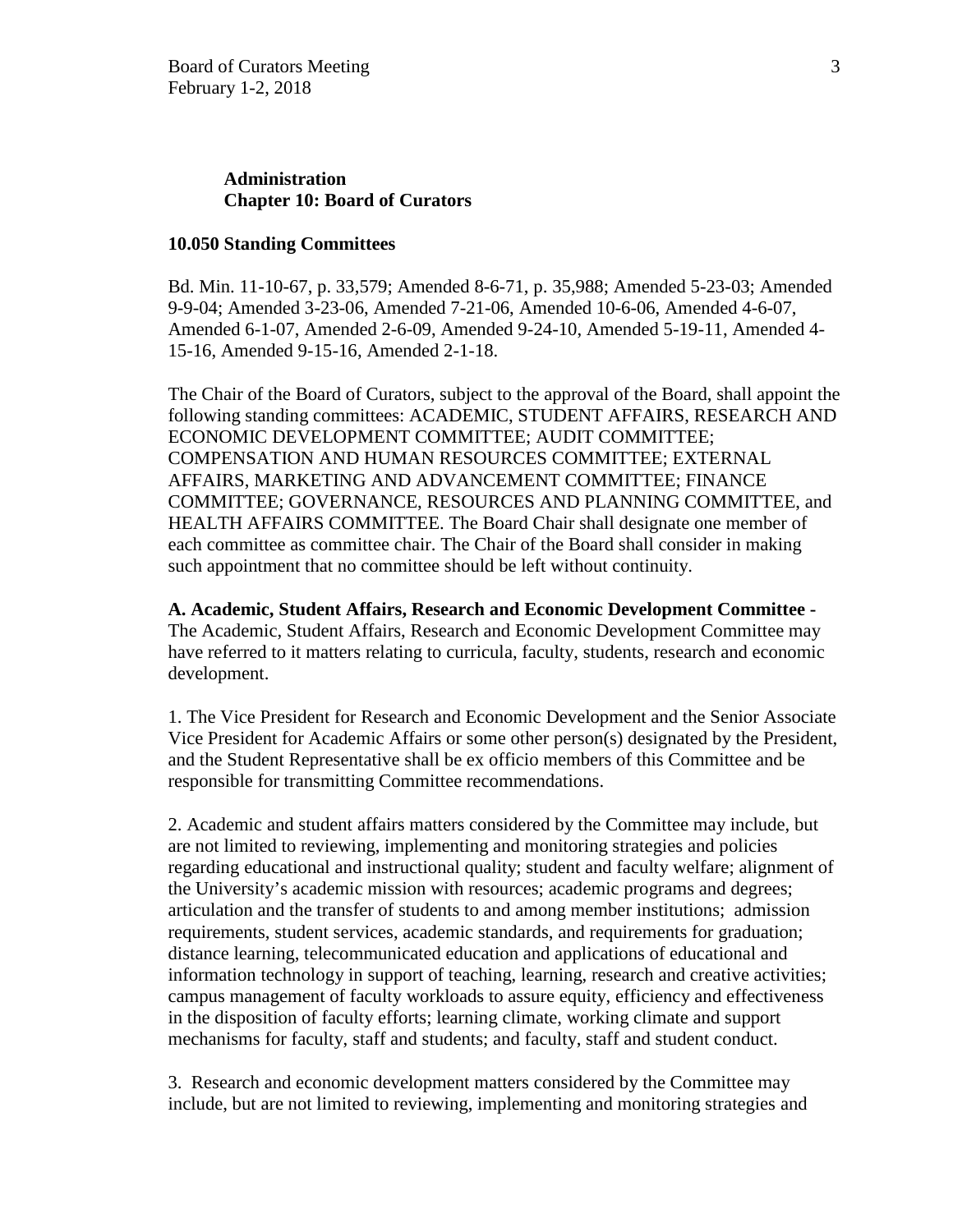# **Administration Chapter 10: Board of Curators**

### **10.050 Standing Committees**

Bd. Min. 11-10-67, p. 33,579; Amended 8-6-71, p. 35,988; Amended 5-23-03; Amended 9-9-04; Amended 3-23-06, Amended 7-21-06, Amended 10-6-06, Amended 4-6-07, Amended 6-1-07, Amended 2-6-09, Amended 9-24-10, Amended 5-19-11, Amended 4- 15-16, Amended 9-15-16, Amended 2-1-18.

The Chair of the Board of Curators, subject to the approval of the Board, shall appoint the following standing committees: ACADEMIC, STUDENT AFFAIRS, RESEARCH AND ECONOMIC DEVELOPMENT COMMITTEE; AUDIT COMMITTEE; COMPENSATION AND HUMAN RESOURCES COMMITTEE; EXTERNAL AFFAIRS, MARKETING AND ADVANCEMENT COMMITTEE; FINANCE COMMITTEE; GOVERNANCE, RESOURCES AND PLANNING COMMITTEE, and HEALTH AFFAIRS COMMITTEE. The Board Chair shall designate one member of each committee as committee chair. The Chair of the Board shall consider in making such appointment that no committee should be left without continuity.

**A. Academic, Student Affairs, Research and Economic Development Committee -** The Academic, Student Affairs, Research and Economic Development Committee may have referred to it matters relating to curricula, faculty, students, research and economic development.

1. The Vice President for Research and Economic Development and the Senior Associate Vice President for Academic Affairs or some other person(s) designated by the President, and the Student Representative shall be ex officio members of this Committee and be responsible for transmitting Committee recommendations.

2. Academic and student affairs matters considered by the Committee may include, but are not limited to reviewing, implementing and monitoring strategies and policies regarding educational and instructional quality; student and faculty welfare; alignment of the University's academic mission with resources; academic programs and degrees; articulation and the transfer of students to and among member institutions; admission requirements, student services, academic standards, and requirements for graduation; distance learning, telecommunicated education and applications of educational and information technology in support of teaching, learning, research and creative activities; campus management of faculty workloads to assure equity, efficiency and effectiveness in the disposition of faculty efforts; learning climate, working climate and support mechanisms for faculty, staff and students; and faculty, staff and student conduct.

3. Research and economic development matters considered by the Committee may include, but are not limited to reviewing, implementing and monitoring strategies and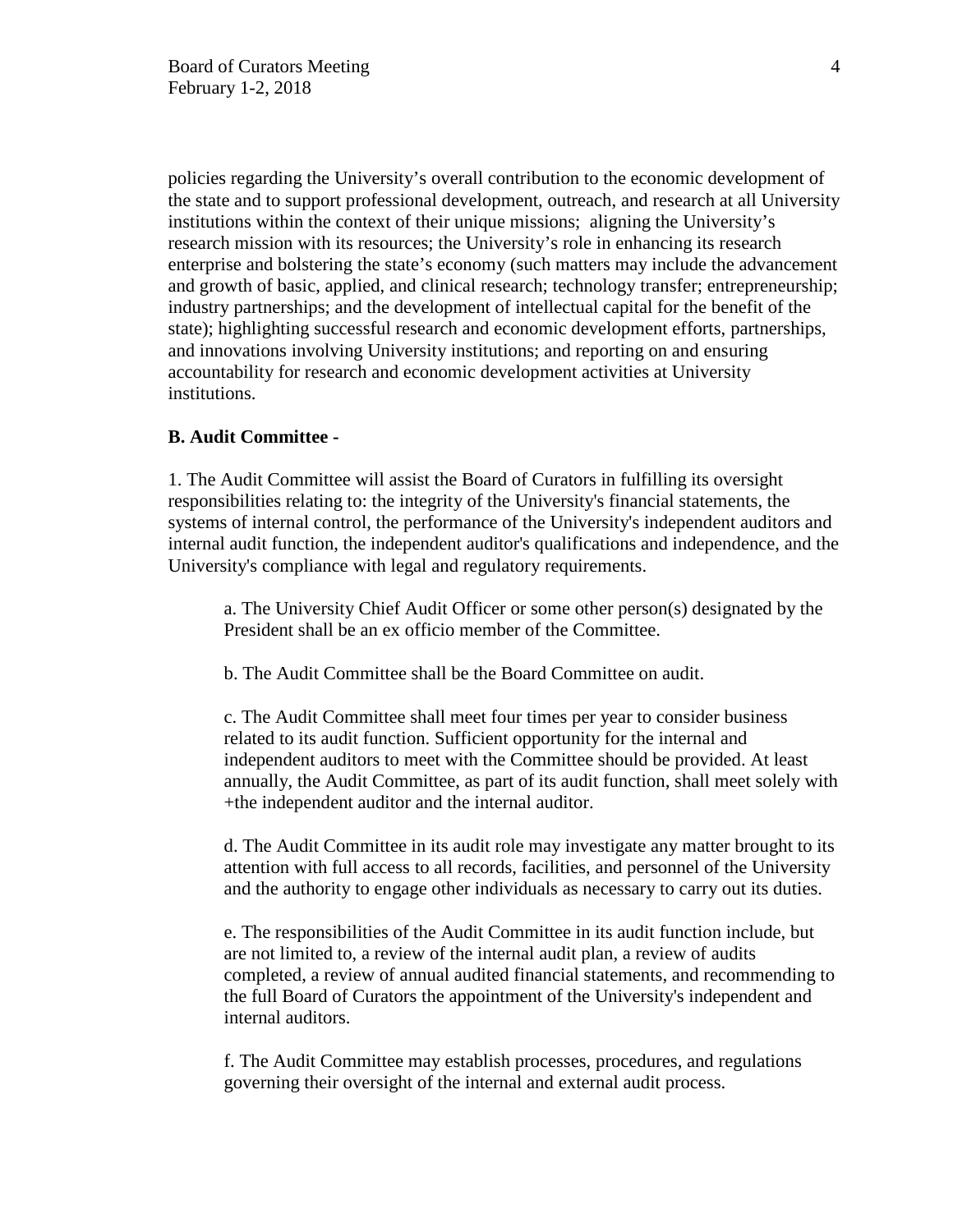policies regarding the University's overall contribution to the economic development of the state and to support professional development, outreach, and research at all University institutions within the context of their unique missions; aligning the University's research mission with its resources; the University's role in enhancing its research enterprise and bolstering the state's economy (such matters may include the advancement and growth of basic, applied, and clinical research; technology transfer; entrepreneurship; industry partnerships; and the development of intellectual capital for the benefit of the state); highlighting successful research and economic development efforts, partnerships, and innovations involving University institutions; and reporting on and ensuring accountability for research and economic development activities at University institutions.

## **B. Audit Committee -**

1. The Audit Committee will assist the Board of Curators in fulfilling its oversight responsibilities relating to: the integrity of the University's financial statements, the systems of internal control, the performance of the University's independent auditors and internal audit function, the independent auditor's qualifications and independence, and the University's compliance with legal and regulatory requirements.

a. The University Chief Audit Officer or some other person(s) designated by the President shall be an ex officio member of the Committee.

b. The Audit Committee shall be the Board Committee on audit.

c. The Audit Committee shall meet four times per year to consider business related to its audit function. Sufficient opportunity for the internal and independent auditors to meet with the Committee should be provided. At least annually, the Audit Committee, as part of its audit function, shall meet solely with +the independent auditor and the internal auditor.

d. The Audit Committee in its audit role may investigate any matter brought to its attention with full access to all records, facilities, and personnel of the University and the authority to engage other individuals as necessary to carry out its duties.

e. The responsibilities of the Audit Committee in its audit function include, but are not limited to, a review of the internal audit plan, a review of audits completed, a review of annual audited financial statements, and recommending to the full Board of Curators the appointment of the University's independent and internal auditors.

f. The Audit Committee may establish processes, procedures, and regulations governing their oversight of the internal and external audit process.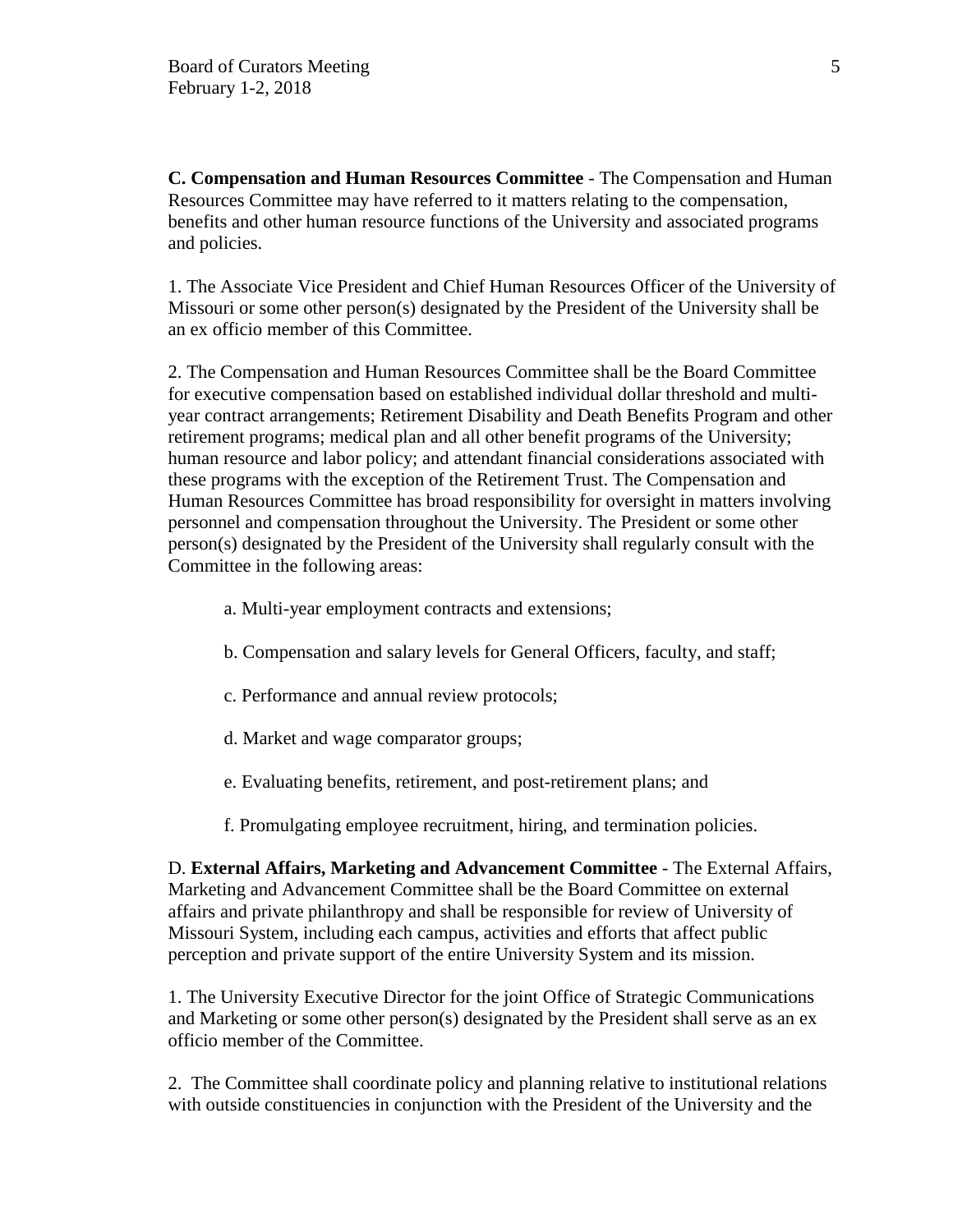**C. Compensation and Human Resources Committee** - The Compensation and Human Resources Committee may have referred to it matters relating to the compensation, benefits and other human resource functions of the University and associated programs and policies.

1. The Associate Vice President and Chief Human Resources Officer of the University of Missouri or some other person(s) designated by the President of the University shall be an ex officio member of this Committee.

2. The Compensation and Human Resources Committee shall be the Board Committee for executive compensation based on established individual dollar threshold and multiyear contract arrangements; Retirement Disability and Death Benefits Program and other retirement programs; medical plan and all other benefit programs of the University; human resource and labor policy; and attendant financial considerations associated with these programs with the exception of the Retirement Trust. The Compensation and Human Resources Committee has broad responsibility for oversight in matters involving personnel and compensation throughout the University. The President or some other person(s) designated by the President of the University shall regularly consult with the Committee in the following areas:

- a. Multi-year employment contracts and extensions;
- b. Compensation and salary levels for General Officers, faculty, and staff;
- c. Performance and annual review protocols;
- d. Market and wage comparator groups;
- e. Evaluating benefits, retirement, and post-retirement plans; and
- f. Promulgating employee recruitment, hiring, and termination policies.

D. **External Affairs, Marketing and Advancement Committee** - The External Affairs, Marketing and Advancement Committee shall be the Board Committee on external affairs and private philanthropy and shall be responsible for review of University of Missouri System, including each campus, activities and efforts that affect public perception and private support of the entire University System and its mission.

1. The University Executive Director for the joint Office of Strategic Communications and Marketing or some other person(s) designated by the President shall serve as an ex officio member of the Committee.

2. The Committee shall coordinate policy and planning relative to institutional relations with outside constituencies in conjunction with the President of the University and the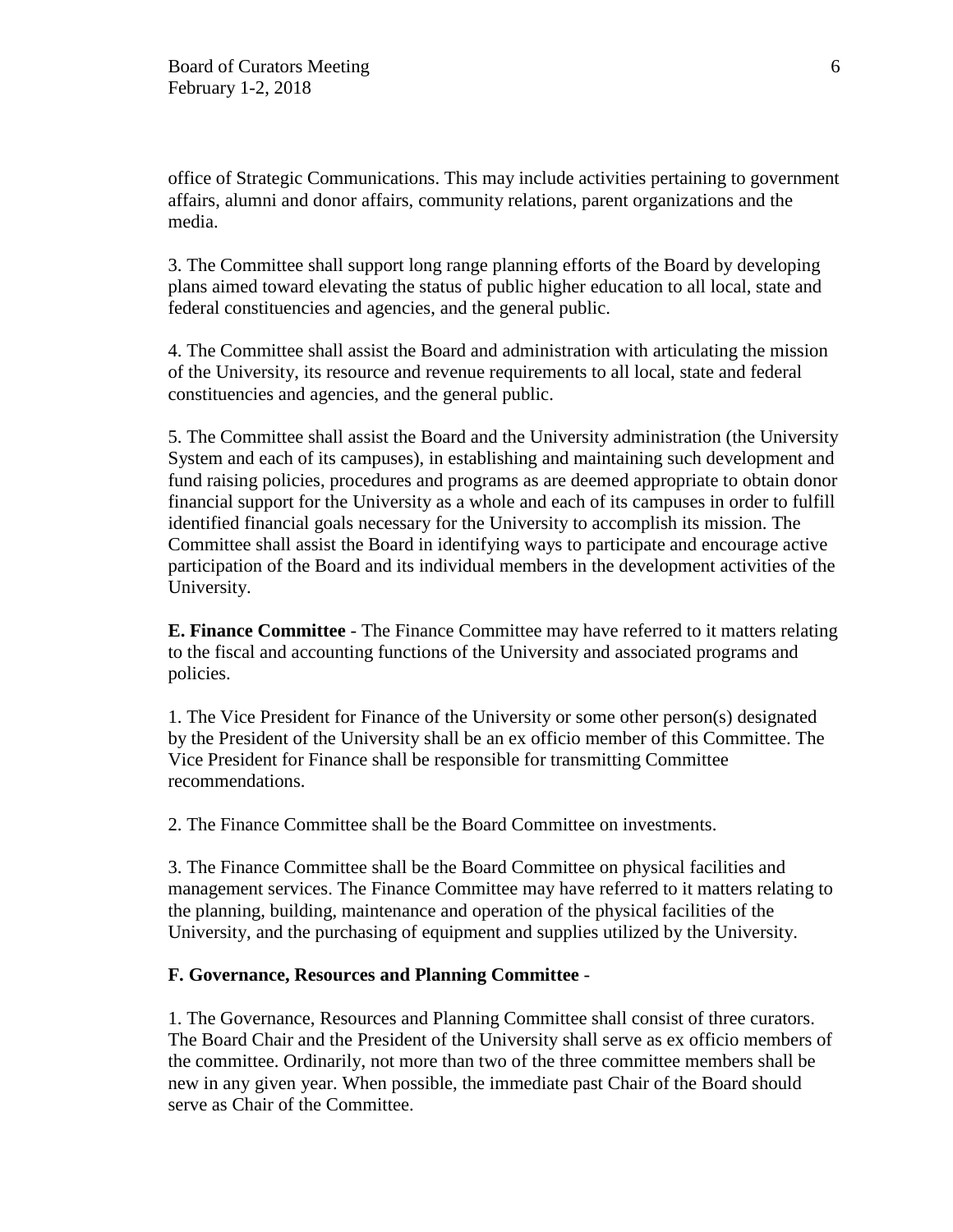office of Strategic Communications. This may include activities pertaining to government affairs, alumni and donor affairs, community relations, parent organizations and the media.

3. The Committee shall support long range planning efforts of the Board by developing plans aimed toward elevating the status of public higher education to all local, state and federal constituencies and agencies, and the general public.

4. The Committee shall assist the Board and administration with articulating the mission of the University, its resource and revenue requirements to all local, state and federal constituencies and agencies, and the general public.

5. The Committee shall assist the Board and the University administration (the University System and each of its campuses), in establishing and maintaining such development and fund raising policies, procedures and programs as are deemed appropriate to obtain donor financial support for the University as a whole and each of its campuses in order to fulfill identified financial goals necessary for the University to accomplish its mission. The Committee shall assist the Board in identifying ways to participate and encourage active participation of the Board and its individual members in the development activities of the University.

**E. Finance Committee** - The Finance Committee may have referred to it matters relating to the fiscal and accounting functions of the University and associated programs and policies.

1. The Vice President for Finance of the University or some other person(s) designated by the President of the University shall be an ex officio member of this Committee. The Vice President for Finance shall be responsible for transmitting Committee recommendations.

2. The Finance Committee shall be the Board Committee on investments.

3. The Finance Committee shall be the Board Committee on physical facilities and management services. The Finance Committee may have referred to it matters relating to the planning, building, maintenance and operation of the physical facilities of the University, and the purchasing of equipment and supplies utilized by the University.

# **F. Governance, Resources and Planning Committee** -

1. The Governance, Resources and Planning Committee shall consist of three curators. The Board Chair and the President of the University shall serve as ex officio members of the committee. Ordinarily, not more than two of the three committee members shall be new in any given year. When possible, the immediate past Chair of the Board should serve as Chair of the Committee.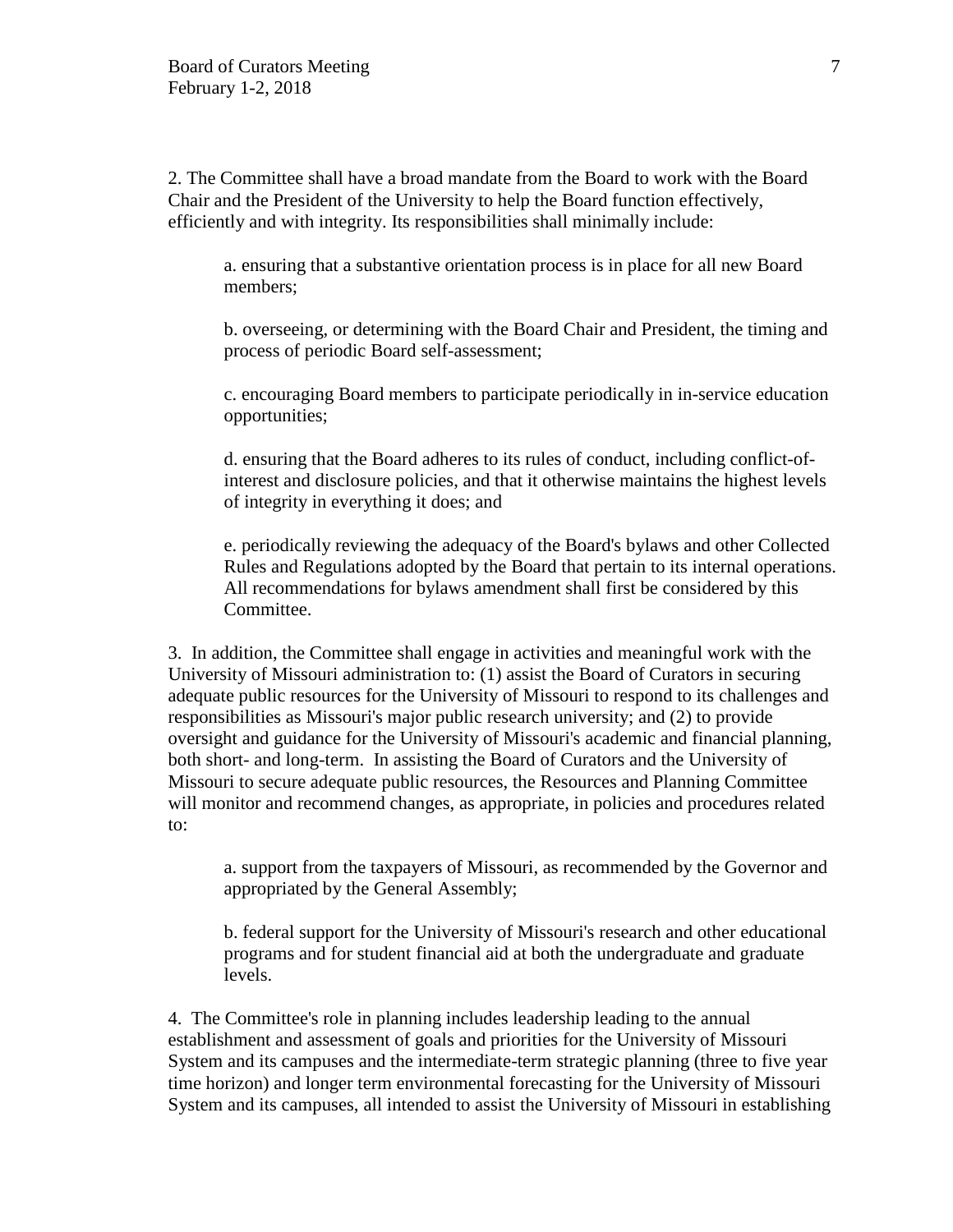2. The Committee shall have a broad mandate from the Board to work with the Board Chair and the President of the University to help the Board function effectively, efficiently and with integrity. Its responsibilities shall minimally include:

a. ensuring that a substantive orientation process is in place for all new Board members;

b. overseeing, or determining with the Board Chair and President, the timing and process of periodic Board self-assessment;

c. encouraging Board members to participate periodically in in-service education opportunities;

d. ensuring that the Board adheres to its rules of conduct, including conflict-ofinterest and disclosure policies, and that it otherwise maintains the highest levels of integrity in everything it does; and

e. periodically reviewing the adequacy of the Board's bylaws and other Collected Rules and Regulations adopted by the Board that pertain to its internal operations. All recommendations for bylaws amendment shall first be considered by this Committee.

3. In addition, the Committee shall engage in activities and meaningful work with the University of Missouri administration to: (1) assist the Board of Curators in securing adequate public resources for the University of Missouri to respond to its challenges and responsibilities as Missouri's major public research university; and (2) to provide oversight and guidance for the University of Missouri's academic and financial planning, both short- and long-term. In assisting the Board of Curators and the University of Missouri to secure adequate public resources, the Resources and Planning Committee will monitor and recommend changes, as appropriate, in policies and procedures related to:

a. support from the taxpayers of Missouri, as recommended by the Governor and appropriated by the General Assembly;

b. federal support for the University of Missouri's research and other educational programs and for student financial aid at both the undergraduate and graduate levels.

4. The Committee's role in planning includes leadership leading to the annual establishment and assessment of goals and priorities for the University of Missouri System and its campuses and the intermediate-term strategic planning (three to five year time horizon) and longer term environmental forecasting for the University of Missouri System and its campuses, all intended to assist the University of Missouri in establishing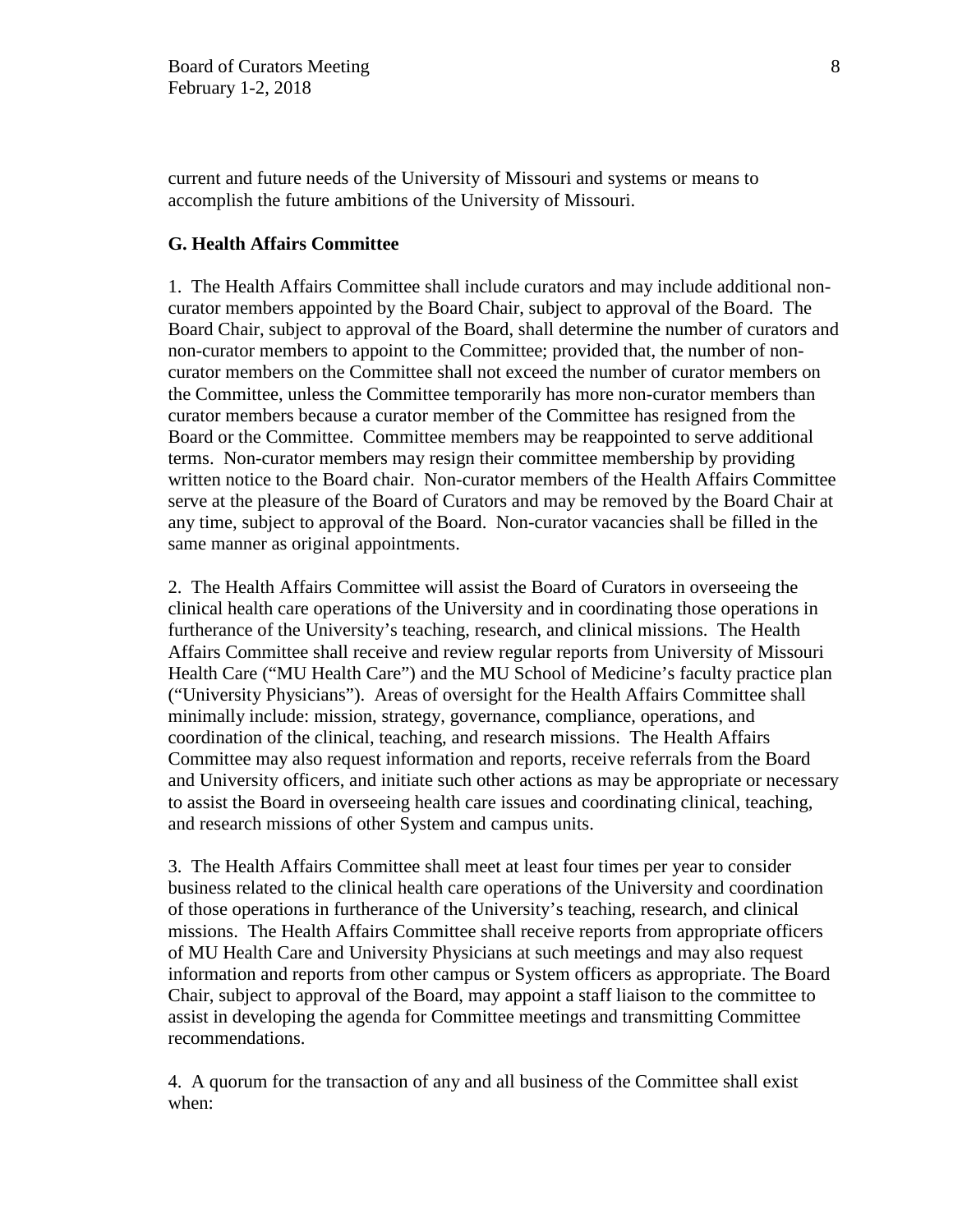current and future needs of the University of Missouri and systems or means to accomplish the future ambitions of the University of Missouri.

### **G. Health Affairs Committee**

1. The Health Affairs Committee shall include curators and may include additional noncurator members appointed by the Board Chair, subject to approval of the Board. The Board Chair, subject to approval of the Board, shall determine the number of curators and non-curator members to appoint to the Committee; provided that, the number of noncurator members on the Committee shall not exceed the number of curator members on the Committee, unless the Committee temporarily has more non-curator members than curator members because a curator member of the Committee has resigned from the Board or the Committee. Committee members may be reappointed to serve additional terms. Non-curator members may resign their committee membership by providing written notice to the Board chair. Non-curator members of the Health Affairs Committee serve at the pleasure of the Board of Curators and may be removed by the Board Chair at any time, subject to approval of the Board. Non-curator vacancies shall be filled in the same manner as original appointments.

2. The Health Affairs Committee will assist the Board of Curators in overseeing the clinical health care operations of the University and in coordinating those operations in furtherance of the University's teaching, research, and clinical missions. The Health Affairs Committee shall receive and review regular reports from University of Missouri Health Care ("MU Health Care") and the MU School of Medicine's faculty practice plan ("University Physicians"). Areas of oversight for the Health Affairs Committee shall minimally include: mission, strategy, governance, compliance, operations, and coordination of the clinical, teaching, and research missions. The Health Affairs Committee may also request information and reports, receive referrals from the Board and University officers, and initiate such other actions as may be appropriate or necessary to assist the Board in overseeing health care issues and coordinating clinical, teaching, and research missions of other System and campus units.

3. The Health Affairs Committee shall meet at least four times per year to consider business related to the clinical health care operations of the University and coordination of those operations in furtherance of the University's teaching, research, and clinical missions. The Health Affairs Committee shall receive reports from appropriate officers of MU Health Care and University Physicians at such meetings and may also request information and reports from other campus or System officers as appropriate. The Board Chair, subject to approval of the Board, may appoint a staff liaison to the committee to assist in developing the agenda for Committee meetings and transmitting Committee recommendations.

4. A quorum for the transaction of any and all business of the Committee shall exist when: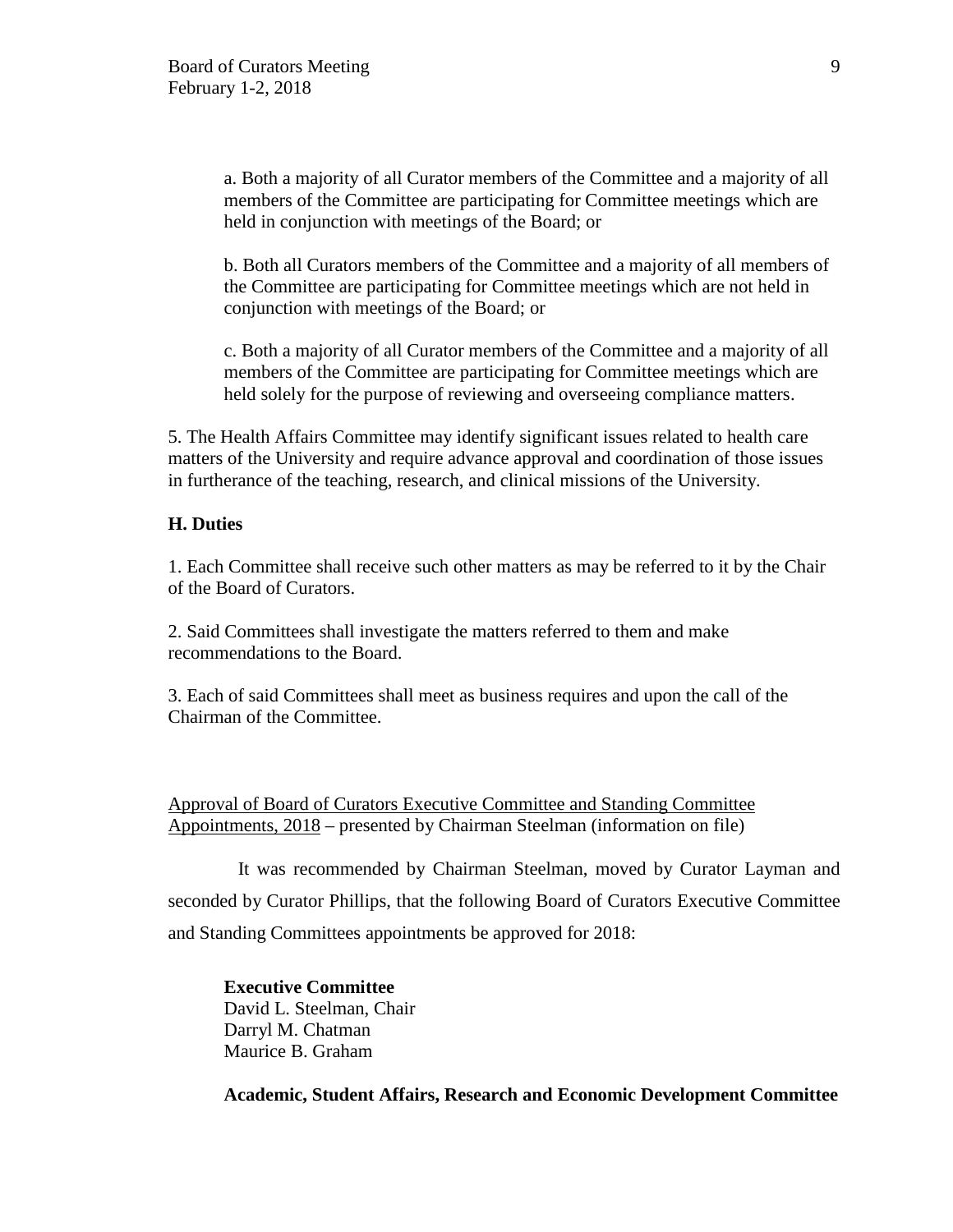a. Both a majority of all Curator members of the Committee and a majority of all members of the Committee are participating for Committee meetings which are held in conjunction with meetings of the Board; or

b. Both all Curators members of the Committee and a majority of all members of the Committee are participating for Committee meetings which are not held in conjunction with meetings of the Board; or

c. Both a majority of all Curator members of the Committee and a majority of all members of the Committee are participating for Committee meetings which are held solely for the purpose of reviewing and overseeing compliance matters.

5. The Health Affairs Committee may identify significant issues related to health care matters of the University and require advance approval and coordination of those issues in furtherance of the teaching, research, and clinical missions of the University.

### **H. Duties**

1. Each Committee shall receive such other matters as may be referred to it by the Chair of the Board of Curators.

2. Said Committees shall investigate the matters referred to them and make recommendations to the Board.

3. Each of said Committees shall meet as business requires and upon the call of the Chairman of the Committee.

Approval of Board of Curators Executive Committee and Standing Committee Appointments, 2018 – presented by Chairman Steelman (information on file)

It was recommended by Chairman Steelman, moved by Curator Layman and seconded by Curator Phillips, that the following Board of Curators Executive Committee and Standing Committees appointments be approved for 2018:

**Executive Committee**  David L. Steelman, Chair Darryl M. Chatman Maurice B. Graham

**Academic, Student Affairs, Research and Economic Development Committee**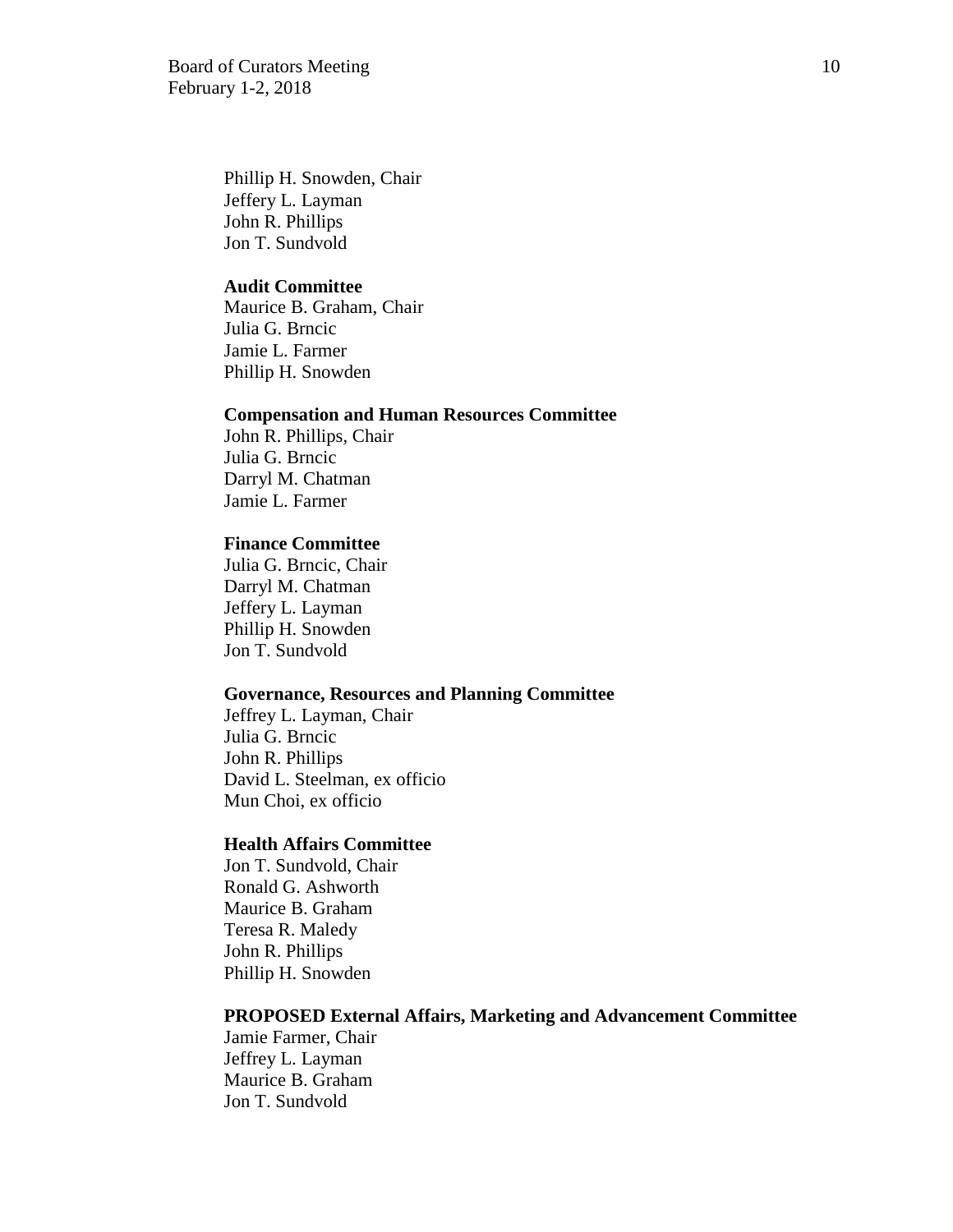Board of Curators Meeting 10 February 1-2, 2018

Phillip H. Snowden, Chair Jeffery L. Layman John R. Phillips Jon T. Sundvold

## **Audit Committee**

Maurice B. Graham, Chair Julia G. Brncic Jamie L. Farmer Phillip H. Snowden

#### **Compensation and Human Resources Committee**

John R. Phillips, Chair Julia G. Brncic Darryl M. Chatman Jamie L. Farmer

#### **Finance Committee**

Julia G. Brncic, Chair Darryl M. Chatman Jeffery L. Layman Phillip H. Snowden Jon T. Sundvold

# **Governance, Resources and Planning Committee**

Jeffrey L. Layman, Chair Julia G. Brncic John R. Phillips David L. Steelman, ex officio Mun Choi, ex officio

### **Health Affairs Committee**

Jon T. Sundvold, Chair Ronald G. Ashworth Maurice B. Graham Teresa R. Maledy John R. Phillips Phillip H. Snowden

#### **PROPOSED External Affairs, Marketing and Advancement Committee**

Jamie Farmer, Chair Jeffrey L. Layman Maurice B. Graham Jon T. Sundvold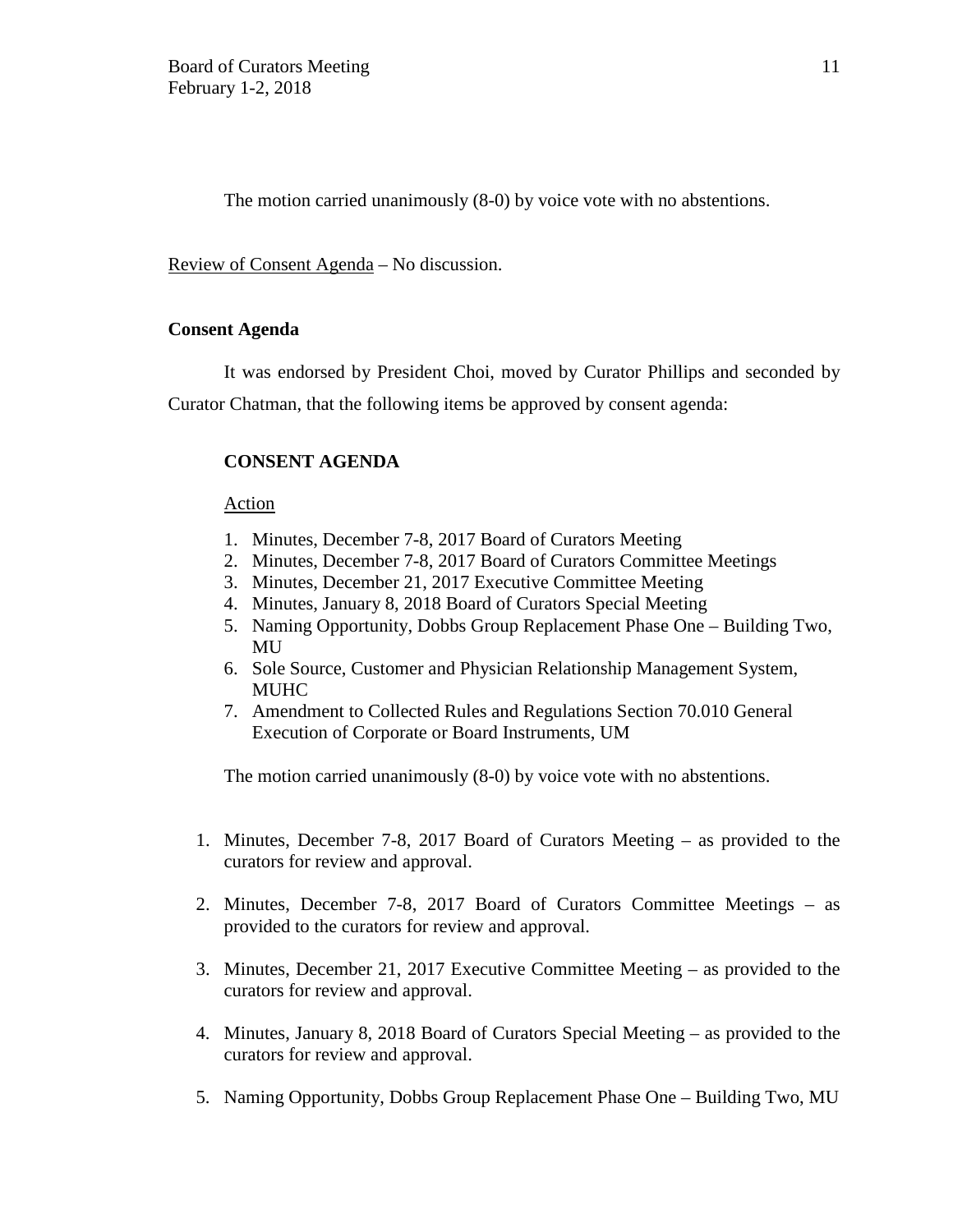The motion carried unanimously (8-0) by voice vote with no abstentions.

Review of Consent Agenda – No discussion.

#### **Consent Agenda**

It was endorsed by President Choi, moved by Curator Phillips and seconded by Curator Chatman, that the following items be approved by consent agenda:

# **CONSENT AGENDA**

#### Action

- 1. Minutes, December 7-8, 2017 Board of Curators Meeting
- 2. Minutes, December 7-8, 2017 Board of Curators Committee Meetings
- 3. Minutes, December 21, 2017 Executive Committee Meeting
- 4. Minutes, January 8, 2018 Board of Curators Special Meeting
- 5. Naming Opportunity, Dobbs Group Replacement Phase One Building Two, **MU**
- 6. Sole Source, Customer and Physician Relationship Management System, MUHC
- 7. Amendment to Collected Rules and Regulations Section 70.010 General Execution of Corporate or Board Instruments, UM

The motion carried unanimously (8-0) by voice vote with no abstentions.

- 1. Minutes, December 7-8, 2017 Board of Curators Meeting as provided to the curators for review and approval.
- 2. Minutes, December 7-8, 2017 Board of Curators Committee Meetings as provided to the curators for review and approval.
- 3. Minutes, December 21, 2017 Executive Committee Meeting as provided to the curators for review and approval.
- 4. Minutes, January 8, 2018 Board of Curators Special Meeting as provided to the curators for review and approval.
- 5. Naming Opportunity, Dobbs Group Replacement Phase One Building Two, MU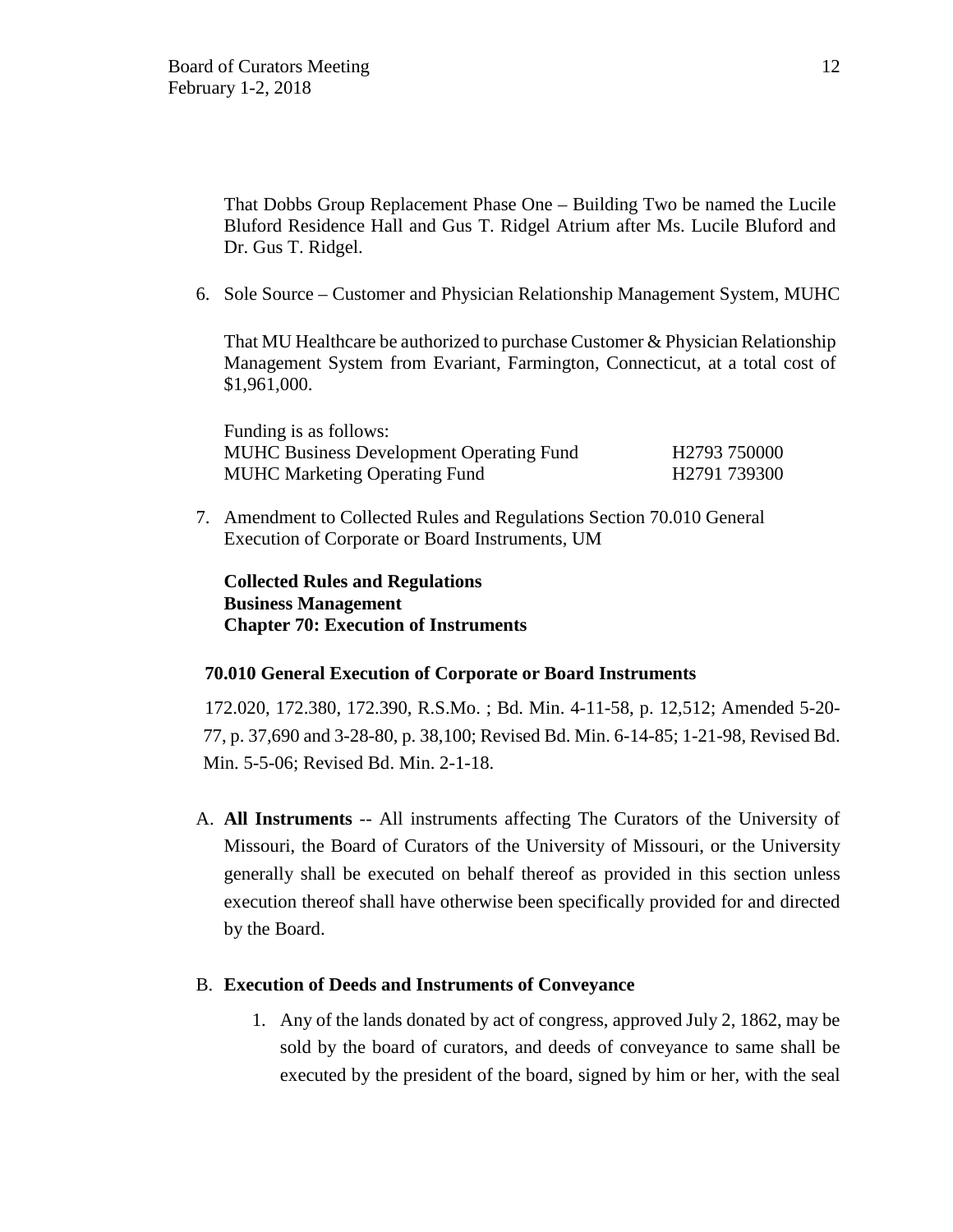That Dobbs Group Replacement Phase One – Building Two be named the Lucile Bluford Residence Hall and Gus T. Ridgel Atrium after Ms. Lucile Bluford and Dr. Gus T. Ridgel.

6. Sole Source – Customer and Physician Relationship Management System, MUHC

That MU Healthcare be authorized to purchase Customer & Physician Relationship Management System from Evariant, Farmington, Connecticut, at a total cost of \$1,961,000.

Funding is as follows: MUHC Business Development Operating Fund H2793 750000 MUHC Marketing Operating Fund H2791 739300

7. Amendment to Collected Rules and Regulations Section 70.010 General Execution of Corporate or Board Instruments, UM

# **Collected Rules and Regulations Business Management Chapter 70: Execution of Instruments**

# **70.010 General Execution of Corporate or Board Instruments**

172.020, 172.380, 172.390, R.S.Mo. ; Bd. Min. 4-11-58, p. 12,512; Amended 5-20- 77, p. 37,690 and 3-28-80, p. 38,100; Revised Bd. Min. 6-14-85; 1-21-98, Revised Bd. Min. 5-5-06; Revised Bd. Min. 2-1-18.

A. **All Instruments** -- All instruments affecting The Curators of the University of Missouri, the Board of Curators of the University of Missouri, or the University generally shall be executed on behalf thereof as provided in this section unless execution thereof shall have otherwise been specifically provided for and directed by the Board.

### B. **Execution of Deeds and Instruments of Conveyance**

1. Any of the lands donated by act of congress, approved July 2, 1862, may be sold by the board of curators, and deeds of conveyance to same shall be executed by the president of the board, signed by him or her, with the seal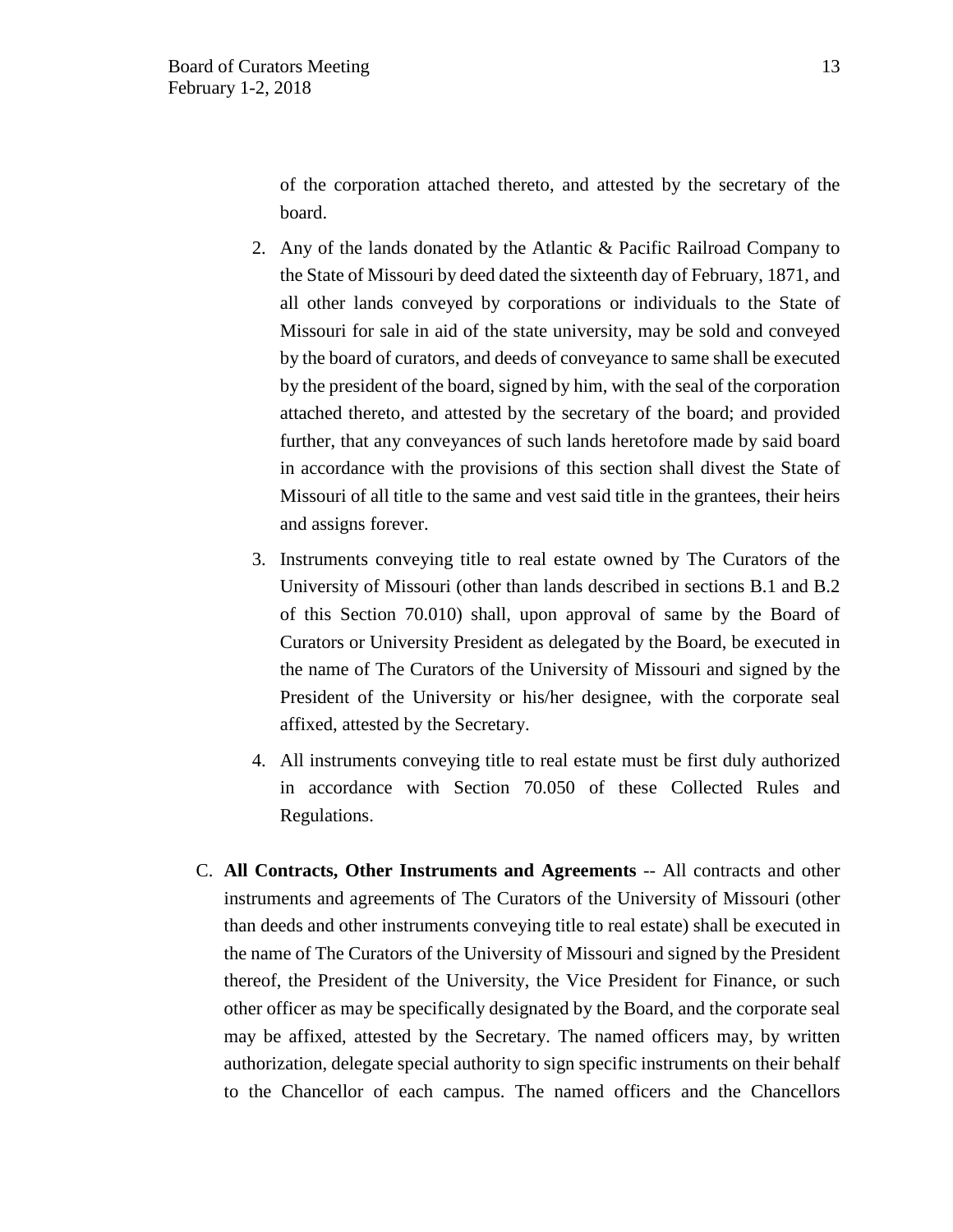of the corporation attached thereto, and attested by the secretary of the board.

- 2. Any of the lands donated by the Atlantic & Pacific Railroad Company to the State of Missouri by deed dated the sixteenth day of February, 1871, and all other lands conveyed by corporations or individuals to the State of Missouri for sale in aid of the state university, may be sold and conveyed by the board of curators, and deeds of conveyance to same shall be executed by the president of the board, signed by him, with the seal of the corporation attached thereto, and attested by the secretary of the board; and provided further, that any conveyances of such lands heretofore made by said board in accordance with the provisions of this section shall divest the State of Missouri of all title to the same and vest said title in the grantees, their heirs and assigns forever.
- 3. Instruments conveying title to real estate owned by The Curators of the University of Missouri (other than lands described in sections B.1 and B.2 of this Section 70.010) shall, upon approval of same by the Board of Curators or University President as delegated by the Board, be executed in the name of The Curators of the University of Missouri and signed by the President of the University or his/her designee, with the corporate seal affixed, attested by the Secretary.
- 4. All instruments conveying title to real estate must be first duly authorized in accordance with Section 70.050 of these Collected Rules and Regulations.
- C. **All Contracts, Other Instruments and Agreements** -- All contracts and other instruments and agreements of The Curators of the University of Missouri (other than deeds and other instruments conveying title to real estate) shall be executed in the name of The Curators of the University of Missouri and signed by the President thereof, the President of the University, the Vice President for Finance, or such other officer as may be specifically designated by the Board, and the corporate seal may be affixed, attested by the Secretary. The named officers may, by written authorization, delegate special authority to sign specific instruments on their behalf to the Chancellor of each campus. The named officers and the Chancellors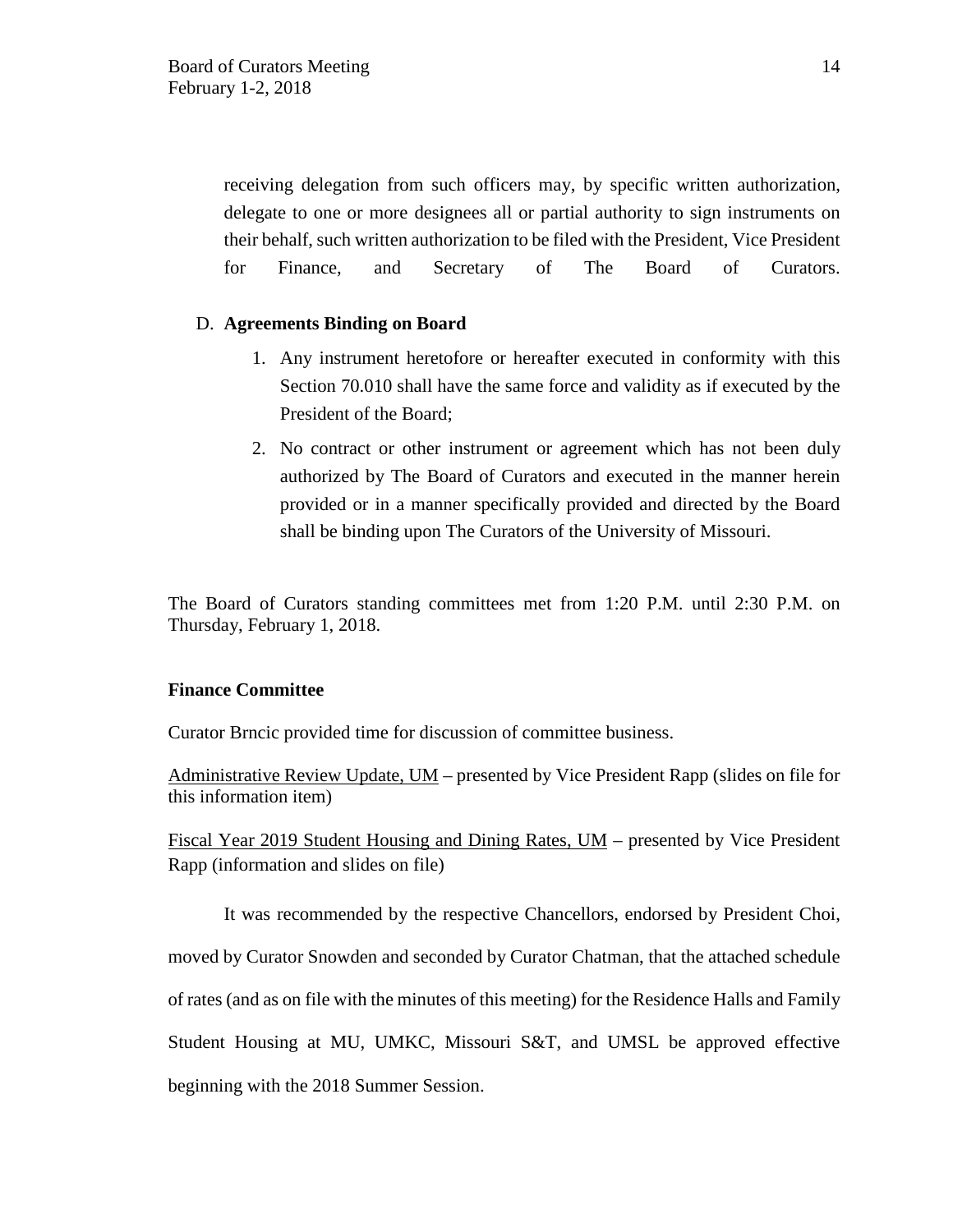receiving delegation from such officers may, by specific written authorization, delegate to one or more designees all or partial authority to sign instruments on their behalf, such written authorization to be filed with the President, Vice President for Finance, and Secretary of The Board of Curators.

## D. **Agreements Binding on Board**

- 1. Any instrument heretofore or hereafter executed in conformity with this Section 70.010 shall have the same force and validity as if executed by the President of the Board;
- 2. No contract or other instrument or agreement which has not been duly authorized by The Board of Curators and executed in the manner herein provided or in a manner specifically provided and directed by the Board shall be binding upon The Curators of the University of Missouri.

The Board of Curators standing committees met from 1:20 P.M. until 2:30 P.M. on Thursday, February 1, 2018.

### **Finance Committee**

Curator Brncic provided time for discussion of committee business.

Administrative Review Update,  $UM$  – presented by Vice President Rapp (slides on file for this information item)

Fiscal Year 2019 Student Housing and Dining Rates, UM – presented by Vice President Rapp (information and slides on file)

It was recommended by the respective Chancellors, endorsed by President Choi, moved by Curator Snowden and seconded by Curator Chatman, that the attached schedule of rates (and as on file with the minutes of this meeting) for the Residence Halls and Family Student Housing at MU, UMKC, Missouri S&T, and UMSL be approved effective beginning with the 2018 Summer Session.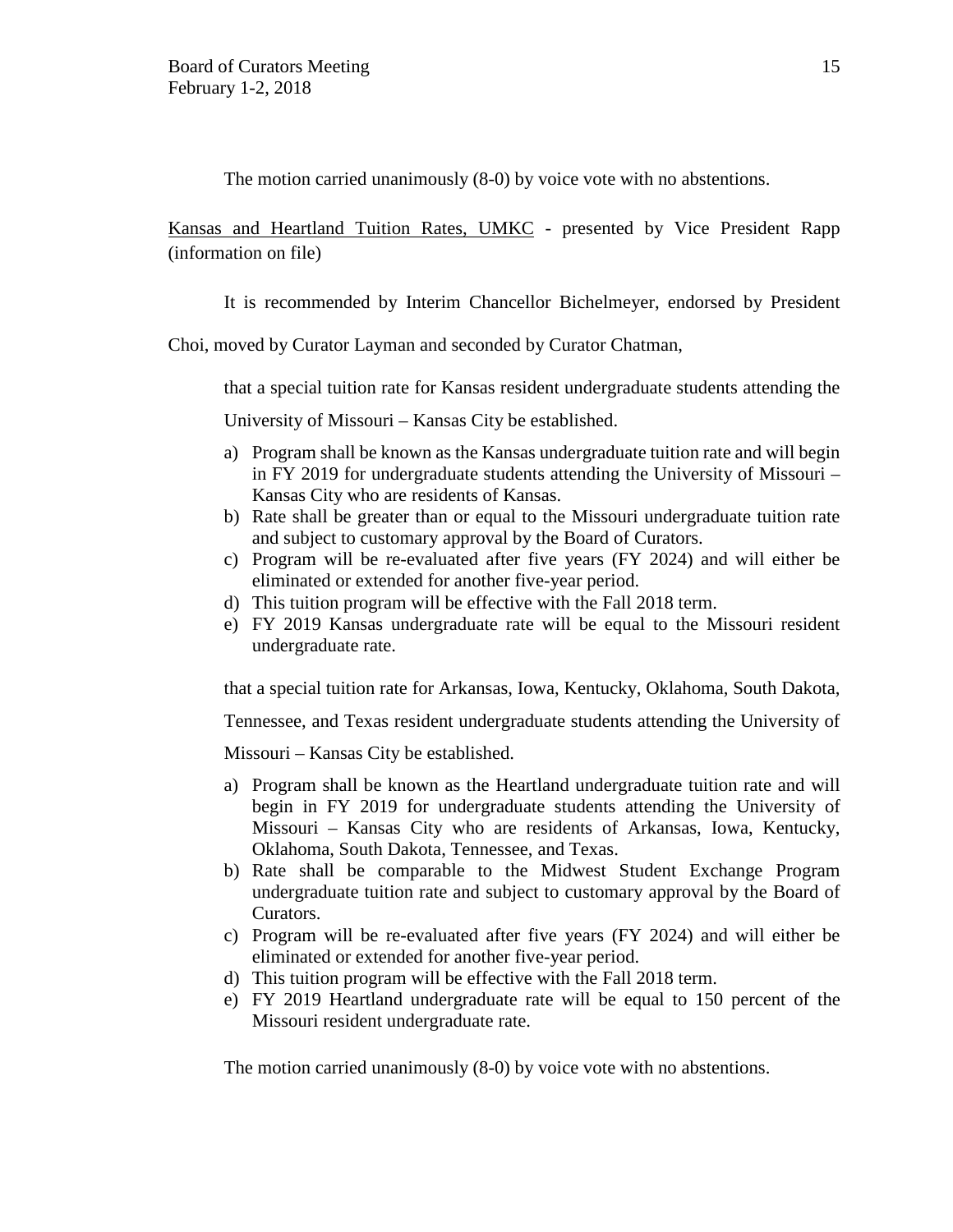The motion carried unanimously (8-0) by voice vote with no abstentions.

Kansas and Heartland Tuition Rates, UMKC - presented by Vice President Rapp (information on file)

It is recommended by Interim Chancellor Bichelmeyer, endorsed by President

Choi, moved by Curator Layman and seconded by Curator Chatman,

that a special tuition rate for Kansas resident undergraduate students attending the

University of Missouri – Kansas City be established.

- a) Program shall be known as the Kansas undergraduate tuition rate and will begin in FY 2019 for undergraduate students attending the University of Missouri – Kansas City who are residents of Kansas.
- b) Rate shall be greater than or equal to the Missouri undergraduate tuition rate and subject to customary approval by the Board of Curators.
- c) Program will be re-evaluated after five years (FY 2024) and will either be eliminated or extended for another five-year period.
- d) This tuition program will be effective with the Fall 2018 term.
- e) FY 2019 Kansas undergraduate rate will be equal to the Missouri resident undergraduate rate.

that a special tuition rate for Arkansas, Iowa, Kentucky, Oklahoma, South Dakota,

Tennessee, and Texas resident undergraduate students attending the University of

Missouri – Kansas City be established.

- a) Program shall be known as the Heartland undergraduate tuition rate and will begin in FY 2019 for undergraduate students attending the University of Missouri – Kansas City who are residents of Arkansas, Iowa, Kentucky, Oklahoma, South Dakota, Tennessee, and Texas.
- b) Rate shall be comparable to the Midwest Student Exchange Program undergraduate tuition rate and subject to customary approval by the Board of Curators.
- c) Program will be re-evaluated after five years (FY 2024) and will either be eliminated or extended for another five-year period.
- d) This tuition program will be effective with the Fall 2018 term.
- e) FY 2019 Heartland undergraduate rate will be equal to 150 percent of the Missouri resident undergraduate rate.

The motion carried unanimously (8-0) by voice vote with no abstentions.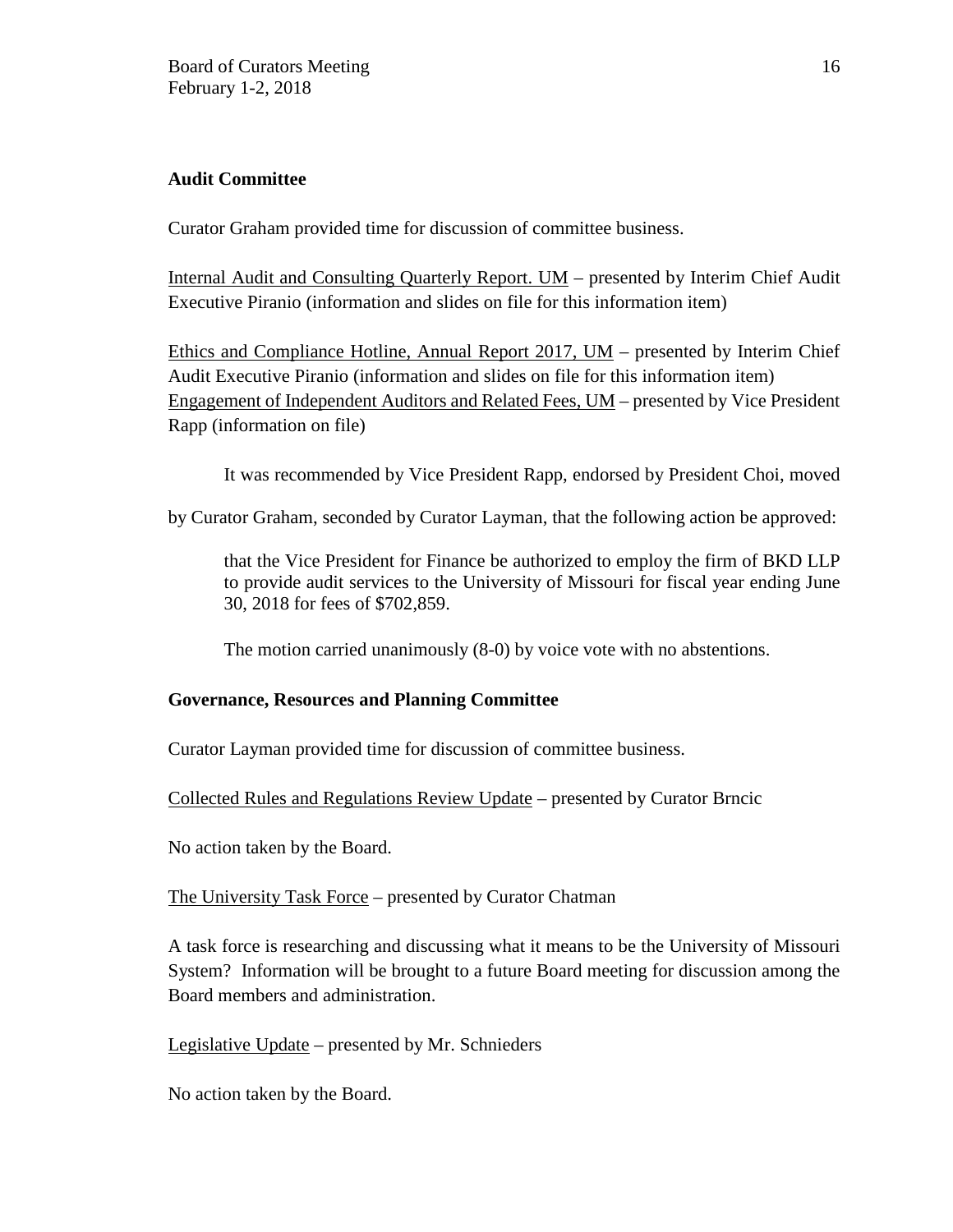# **Audit Committee**

Curator Graham provided time for discussion of committee business.

Internal Audit and Consulting Quarterly Report. UM – presented by Interim Chief Audit Executive Piranio (information and slides on file for this information item)

Ethics and Compliance Hotline, Annual Report 2017, UM – presented by Interim Chief Audit Executive Piranio (information and slides on file for this information item) Engagement of Independent Auditors and Related Fees, UM – presented by Vice President Rapp (information on file)

It was recommended by Vice President Rapp, endorsed by President Choi, moved

by Curator Graham, seconded by Curator Layman, that the following action be approved:

that the Vice President for Finance be authorized to employ the firm of BKD LLP to provide audit services to the University of Missouri for fiscal year ending June 30, 2018 for fees of \$702,859.

The motion carried unanimously (8-0) by voice vote with no abstentions.

# **Governance, Resources and Planning Committee**

Curator Layman provided time for discussion of committee business.

Collected Rules and Regulations Review Update – presented by Curator Brncic

No action taken by the Board.

The University Task Force – presented by Curator Chatman

A task force is researching and discussing what it means to be the University of Missouri System? Information will be brought to a future Board meeting for discussion among the Board members and administration.

Legislative Update – presented by Mr. Schnieders

No action taken by the Board.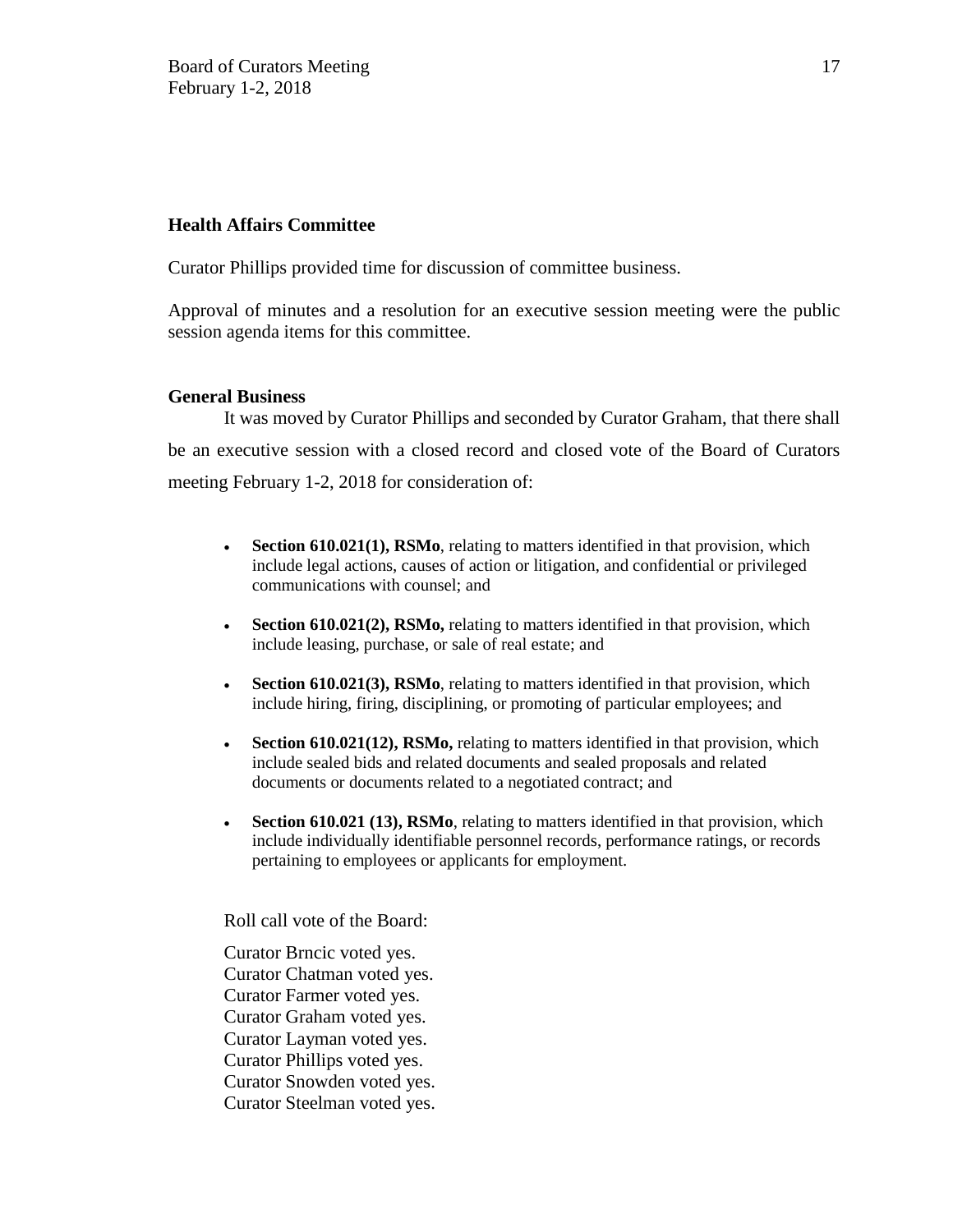### **Health Affairs Committee**

Curator Phillips provided time for discussion of committee business.

Approval of minutes and a resolution for an executive session meeting were the public session agenda items for this committee.

### **General Business**

It was moved by Curator Phillips and seconded by Curator Graham, that there shall be an executive session with a closed record and closed vote of the Board of Curators meeting February 1-2, 2018 for consideration of:

- **Section 610.021(1), RSMo**, relating to matters identified in that provision, which include legal actions, causes of action or litigation, and confidential or privileged communications with counsel; and
- **Section 610.021(2), RSMo,** relating to matters identified in that provision, which include leasing, purchase, or sale of real estate; and
- **Section 610.021(3), RSMo**, relating to matters identified in that provision, which include hiring, firing, disciplining, or promoting of particular employees; and
- **Section 610.021(12), RSMo,** relating to matters identified in that provision, which include sealed bids and related documents and sealed proposals and related documents or documents related to a negotiated contract; and
- **Section 610.021 (13), RSMo**, relating to matters identified in that provision, which include individually identifiable personnel records, performance ratings, or records pertaining to employees or applicants for employment.

Roll call vote of the Board:

Curator Brncic voted yes. Curator Chatman voted yes. Curator Farmer voted yes. Curator Graham voted yes. Curator Layman voted yes. Curator Phillips voted yes. Curator Snowden voted yes. Curator Steelman voted yes.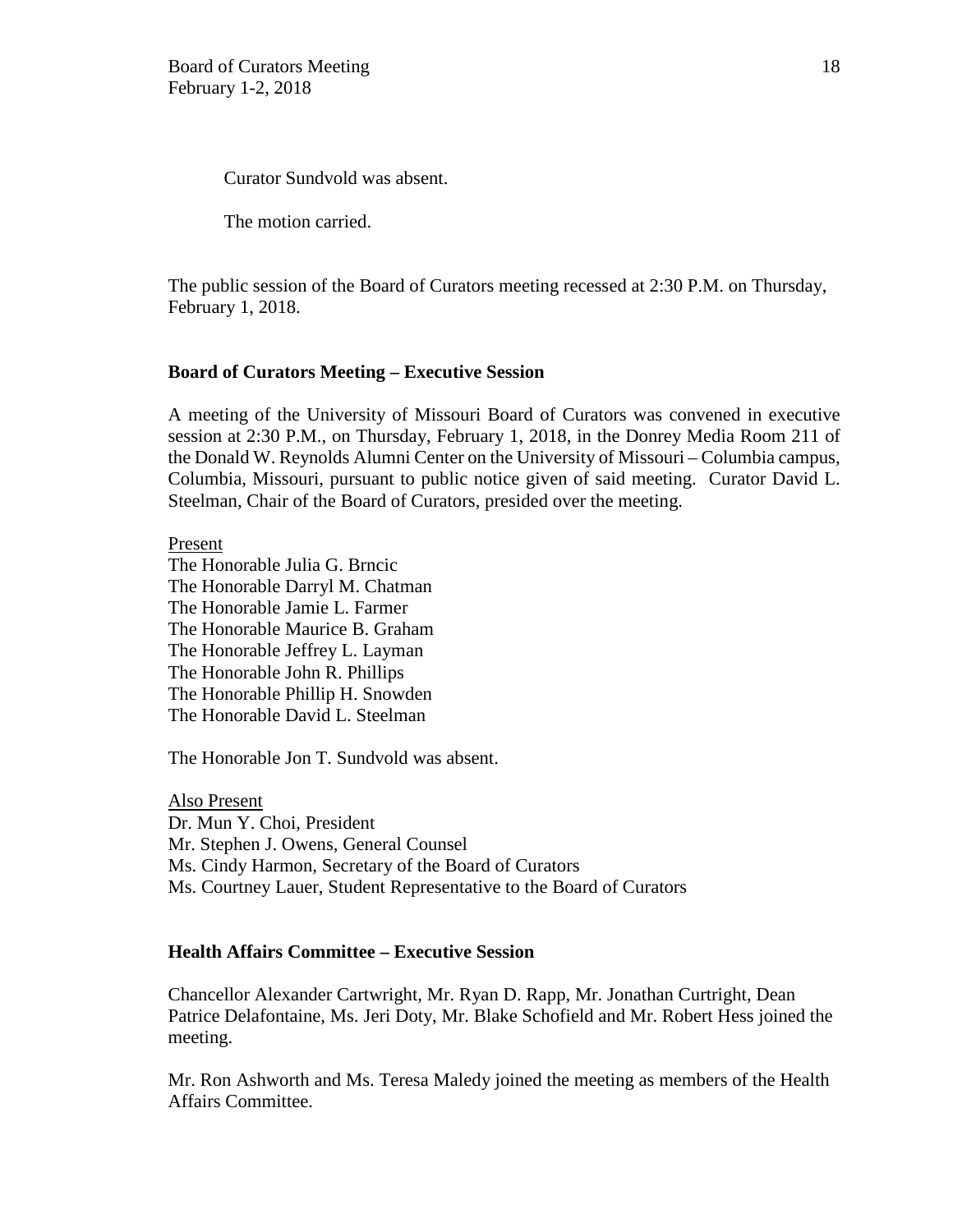Curator Sundvold was absent.

The motion carried.

The public session of the Board of Curators meeting recessed at 2:30 P.M. on Thursday, February 1, 2018.

### **Board of Curators Meeting – Executive Session**

A meeting of the University of Missouri Board of Curators was convened in executive session at 2:30 P.M., on Thursday, February 1, 2018, in the Donrey Media Room 211 of the Donald W. Reynolds Alumni Center on the University of Missouri – Columbia campus, Columbia, Missouri, pursuant to public notice given of said meeting. Curator David L. Steelman, Chair of the Board of Curators, presided over the meeting.

Present The Honorable Julia G. Brncic The Honorable Darryl M. Chatman The Honorable Jamie L. Farmer The Honorable Maurice B. Graham The Honorable Jeffrey L. Layman The Honorable John R. Phillips The Honorable Phillip H. Snowden The Honorable David L. Steelman

The Honorable Jon T. Sundvold was absent.

Also Present Dr. Mun Y. Choi, President Mr. Stephen J. Owens, General Counsel Ms. Cindy Harmon, Secretary of the Board of Curators Ms. Courtney Lauer, Student Representative to the Board of Curators

## **Health Affairs Committee – Executive Session**

Chancellor Alexander Cartwright, Mr. Ryan D. Rapp, Mr. Jonathan Curtright, Dean Patrice Delafontaine, Ms. Jeri Doty, Mr. Blake Schofield and Mr. Robert Hess joined the meeting.

Mr. Ron Ashworth and Ms. Teresa Maledy joined the meeting as members of the Health Affairs Committee.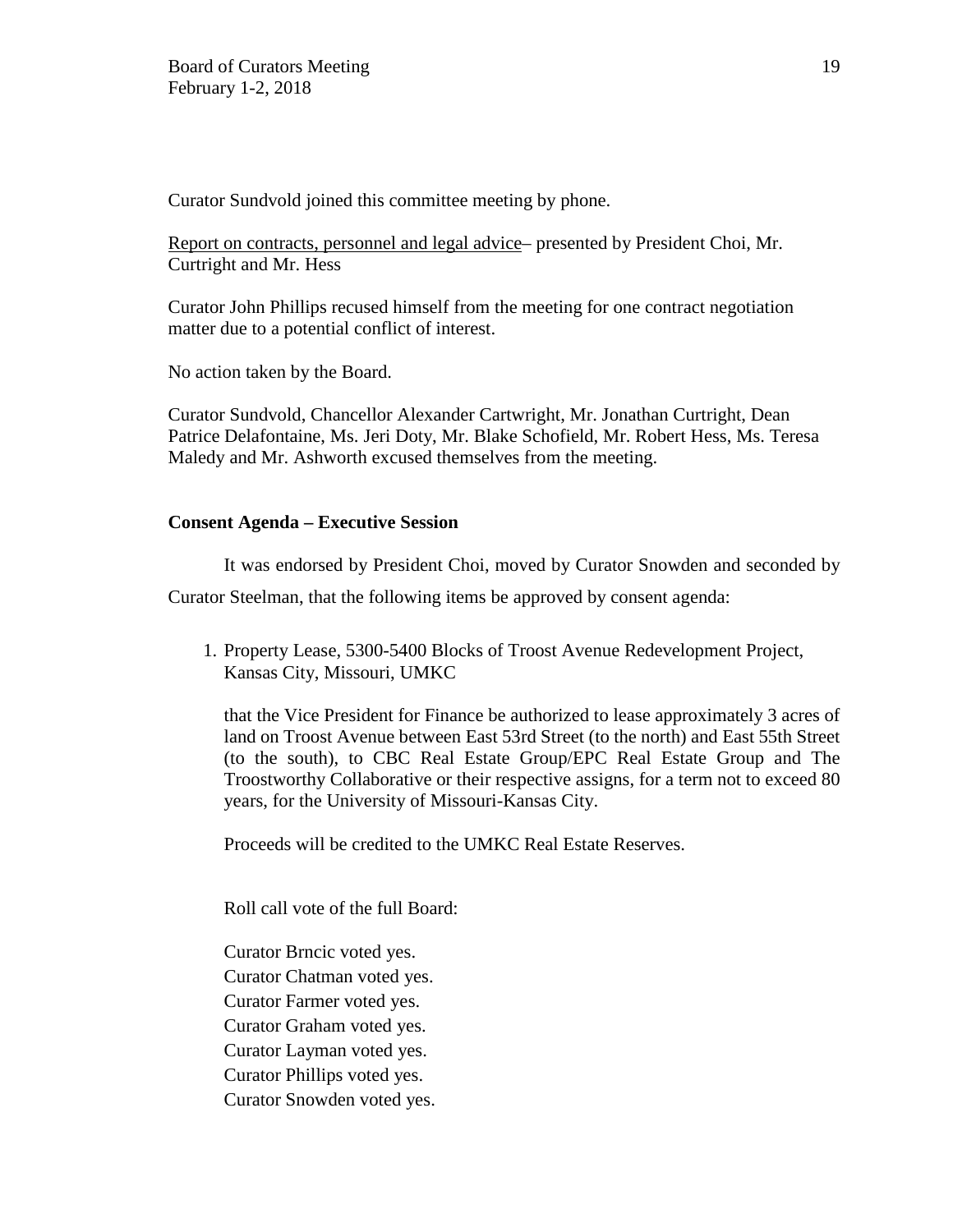Curator Sundvold joined this committee meeting by phone.

Report on contracts, personnel and legal advice– presented by President Choi, Mr. Curtright and Mr. Hess

Curator John Phillips recused himself from the meeting for one contract negotiation matter due to a potential conflict of interest.

No action taken by the Board.

Curator Sundvold, Chancellor Alexander Cartwright, Mr. Jonathan Curtright, Dean Patrice Delafontaine, Ms. Jeri Doty, Mr. Blake Schofield, Mr. Robert Hess, Ms. Teresa Maledy and Mr. Ashworth excused themselves from the meeting.

## **Consent Agenda – Executive Session**

It was endorsed by President Choi, moved by Curator Snowden and seconded by

Curator Steelman, that the following items be approved by consent agenda:

1. Property Lease, 5300-5400 Blocks of Troost Avenue Redevelopment Project, Kansas City, Missouri, UMKC

that the Vice President for Finance be authorized to lease approximately 3 acres of land on Troost Avenue between East 53rd Street (to the north) and East 55th Street (to the south), to CBC Real Estate Group/EPC Real Estate Group and The Troostworthy Collaborative or their respective assigns, for a term not to exceed 80 years, for the University of Missouri-Kansas City.

Proceeds will be credited to the UMKC Real Estate Reserves.

Roll call vote of the full Board:

Curator Brncic voted yes. Curator Chatman voted yes. Curator Farmer voted yes. Curator Graham voted yes. Curator Layman voted yes. Curator Phillips voted yes. Curator Snowden voted yes.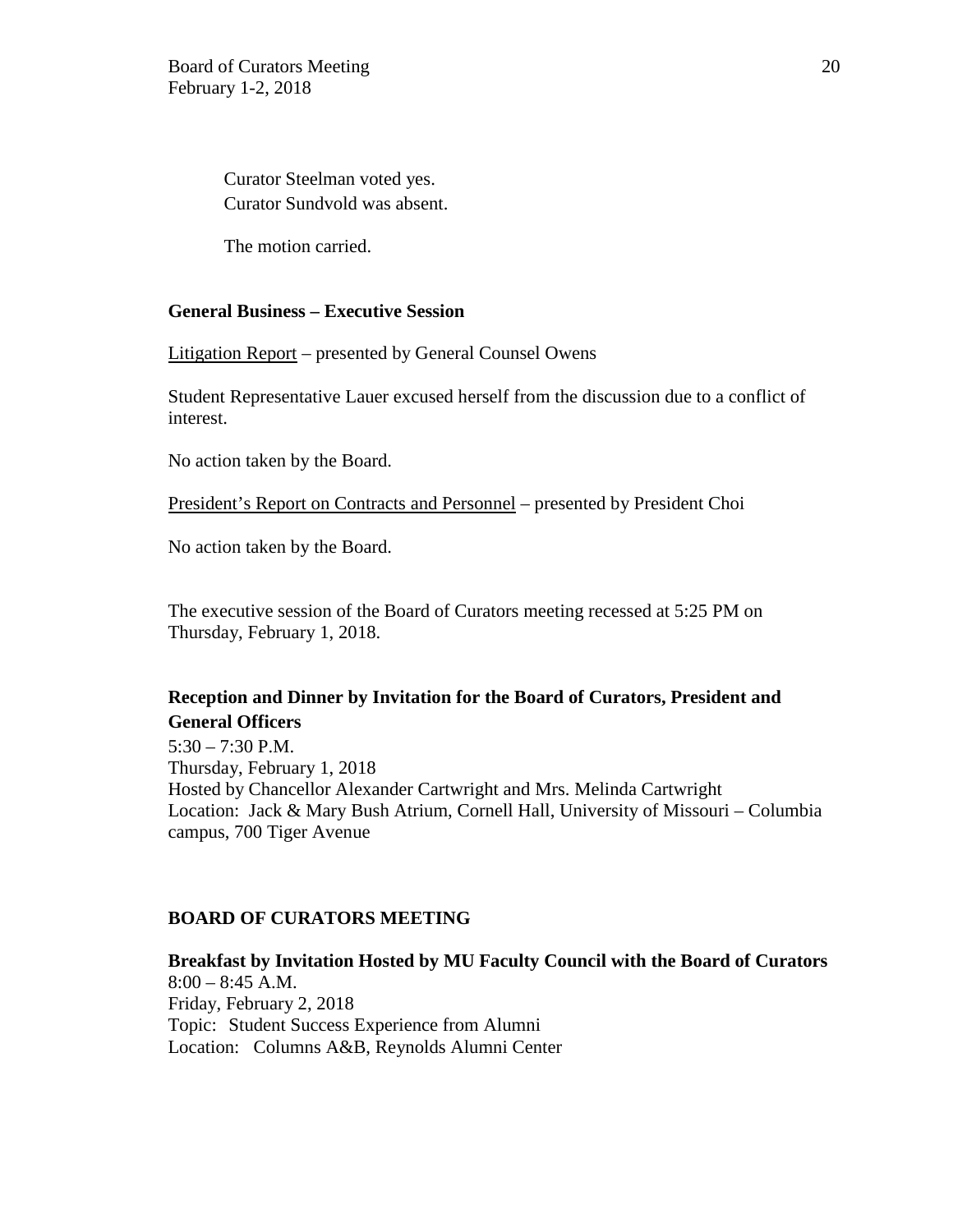Curator Steelman voted yes. Curator Sundvold was absent.

The motion carried.

## **General Business – Executive Session**

Litigation Report – presented by General Counsel Owens

Student Representative Lauer excused herself from the discussion due to a conflict of interest.

No action taken by the Board.

President's Report on Contracts and Personnel – presented by President Choi

No action taken by the Board.

The executive session of the Board of Curators meeting recessed at 5:25 PM on Thursday, February 1, 2018.

# **Reception and Dinner by Invitation for the Board of Curators, President and General Officers**

 $5:30 - 7:30$  P.M. Thursday, February 1, 2018 Hosted by Chancellor Alexander Cartwright and Mrs. Melinda Cartwright Location: Jack & Mary Bush Atrium, Cornell Hall, University of Missouri – Columbia campus, 700 Tiger Avenue

### **BOARD OF CURATORS MEETING**

**Breakfast by Invitation Hosted by MU Faculty Council with the Board of Curators**   $8:00 - 8:45$  A.M. Friday, February 2, 2018 Topic: Student Success Experience from Alumni Location: Columns A&B, Reynolds Alumni Center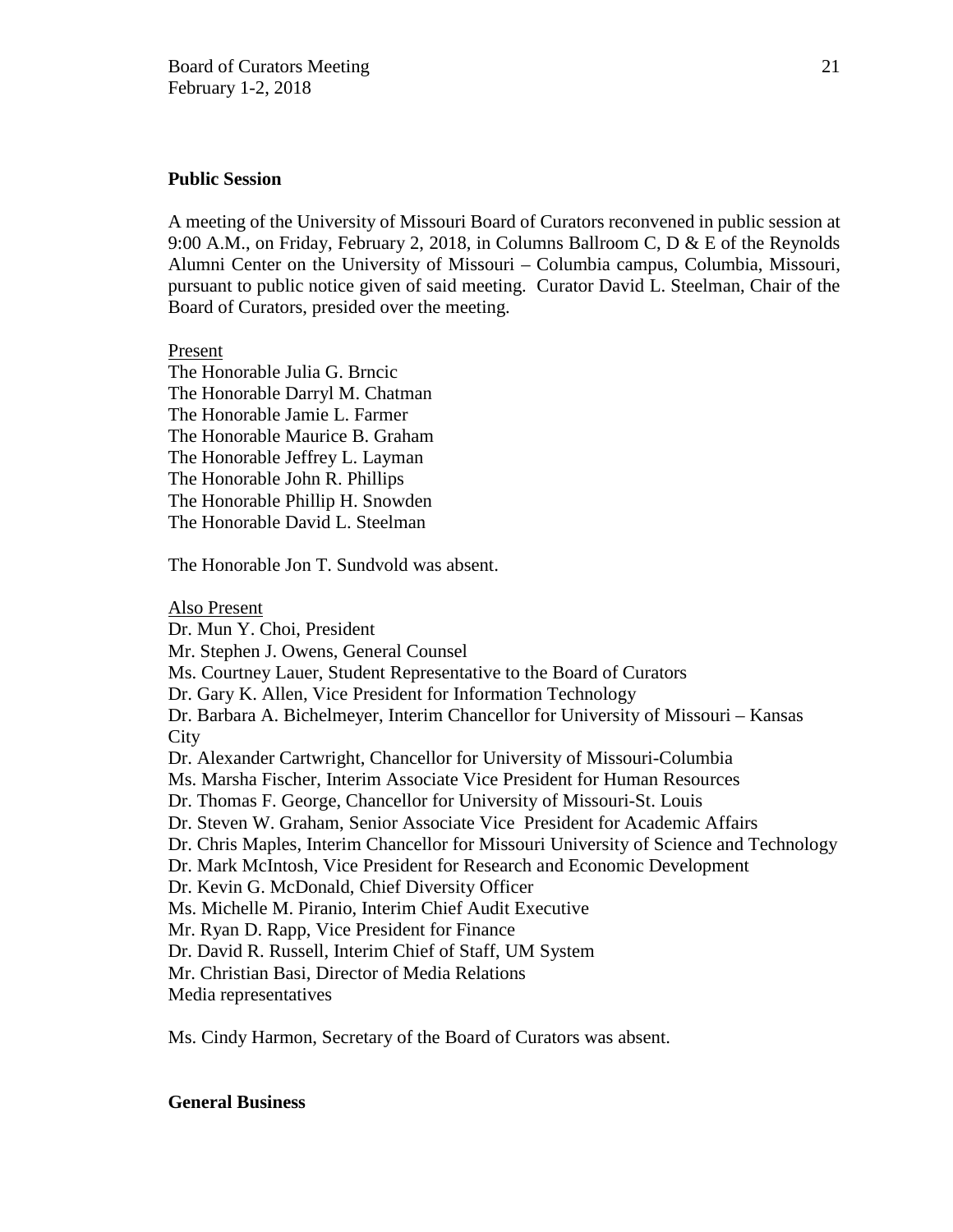### **Public Session**

A meeting of the University of Missouri Board of Curators reconvened in public session at 9:00 A.M., on Friday, February 2, 2018, in Columns Ballroom C, D & E of the Reynolds Alumni Center on the University of Missouri – Columbia campus, Columbia, Missouri, pursuant to public notice given of said meeting. Curator David L. Steelman, Chair of the Board of Curators, presided over the meeting.

#### Present

The Honorable Julia G. Brncic The Honorable Darryl M. Chatman The Honorable Jamie L. Farmer The Honorable Maurice B. Graham The Honorable Jeffrey L. Layman The Honorable John R. Phillips The Honorable Phillip H. Snowden The Honorable David L. Steelman

The Honorable Jon T. Sundvold was absent.

Also Present Dr. Mun Y. Choi, President Mr. Stephen J. Owens, General Counsel Ms. Courtney Lauer, Student Representative to the Board of Curators Dr. Gary K. Allen, Vice President for Information Technology Dr. Barbara A. Bichelmeyer, Interim Chancellor for University of Missouri – Kansas **City** Dr. Alexander Cartwright, Chancellor for University of Missouri-Columbia Ms. Marsha Fischer, Interim Associate Vice President for Human Resources Dr. Thomas F. George, Chancellor for University of Missouri-St. Louis Dr. Steven W. Graham, Senior Associate Vice President for Academic Affairs Dr. Chris Maples, Interim Chancellor for Missouri University of Science and Technology Dr. Mark McIntosh, Vice President for Research and Economic Development Dr. Kevin G. McDonald, Chief Diversity Officer Ms. Michelle M. Piranio, Interim Chief Audit Executive Mr. Ryan D. Rapp, Vice President for Finance Dr. David R. Russell, Interim Chief of Staff, UM System Mr. Christian Basi, Director of Media Relations Media representatives

Ms. Cindy Harmon, Secretary of the Board of Curators was absent.

### **General Business**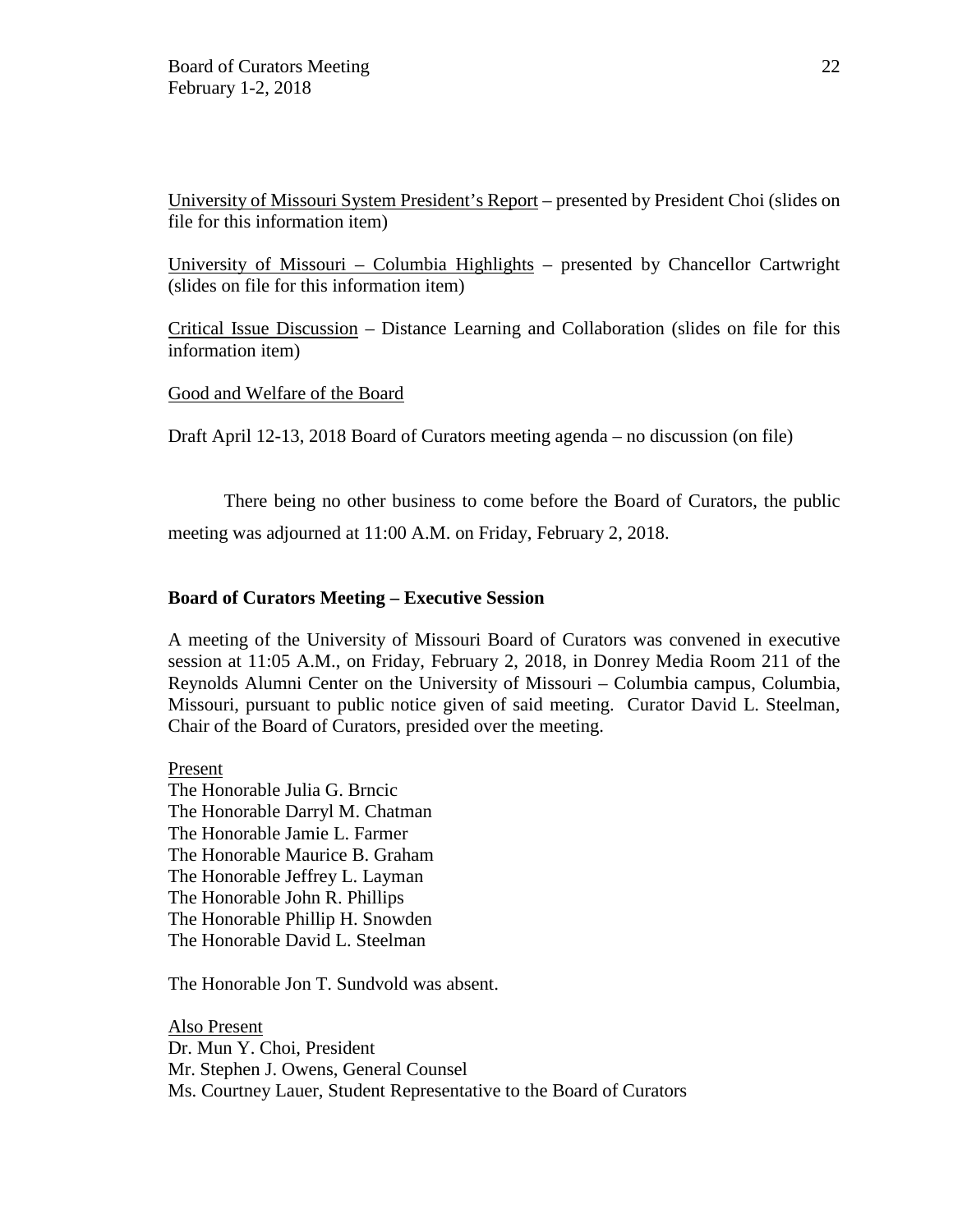University of Missouri System President's Report – presented by President Choi (slides on file for this information item)

University of Missouri – Columbia Highlights – presented by Chancellor Cartwright (slides on file for this information item)

Critical Issue Discussion – Distance Learning and Collaboration (slides on file for this information item)

### Good and Welfare of the Board

Draft April 12-13, 2018 Board of Curators meeting agenda – no discussion (on file)

There being no other business to come before the Board of Curators, the public meeting was adjourned at 11:00 A.M. on Friday, February 2, 2018.

#### **Board of Curators Meeting – Executive Session**

A meeting of the University of Missouri Board of Curators was convened in executive session at 11:05 A.M., on Friday, February 2, 2018, in Donrey Media Room 211 of the Reynolds Alumni Center on the University of Missouri – Columbia campus, Columbia, Missouri, pursuant to public notice given of said meeting. Curator David L. Steelman, Chair of the Board of Curators, presided over the meeting.

### Present

The Honorable Julia G. Brncic The Honorable Darryl M. Chatman The Honorable Jamie L. Farmer The Honorable Maurice B. Graham The Honorable Jeffrey L. Layman The Honorable John R. Phillips The Honorable Phillip H. Snowden The Honorable David L. Steelman

The Honorable Jon T. Sundvold was absent.

Also Present Dr. Mun Y. Choi, President Mr. Stephen J. Owens, General Counsel Ms. Courtney Lauer, Student Representative to the Board of Curators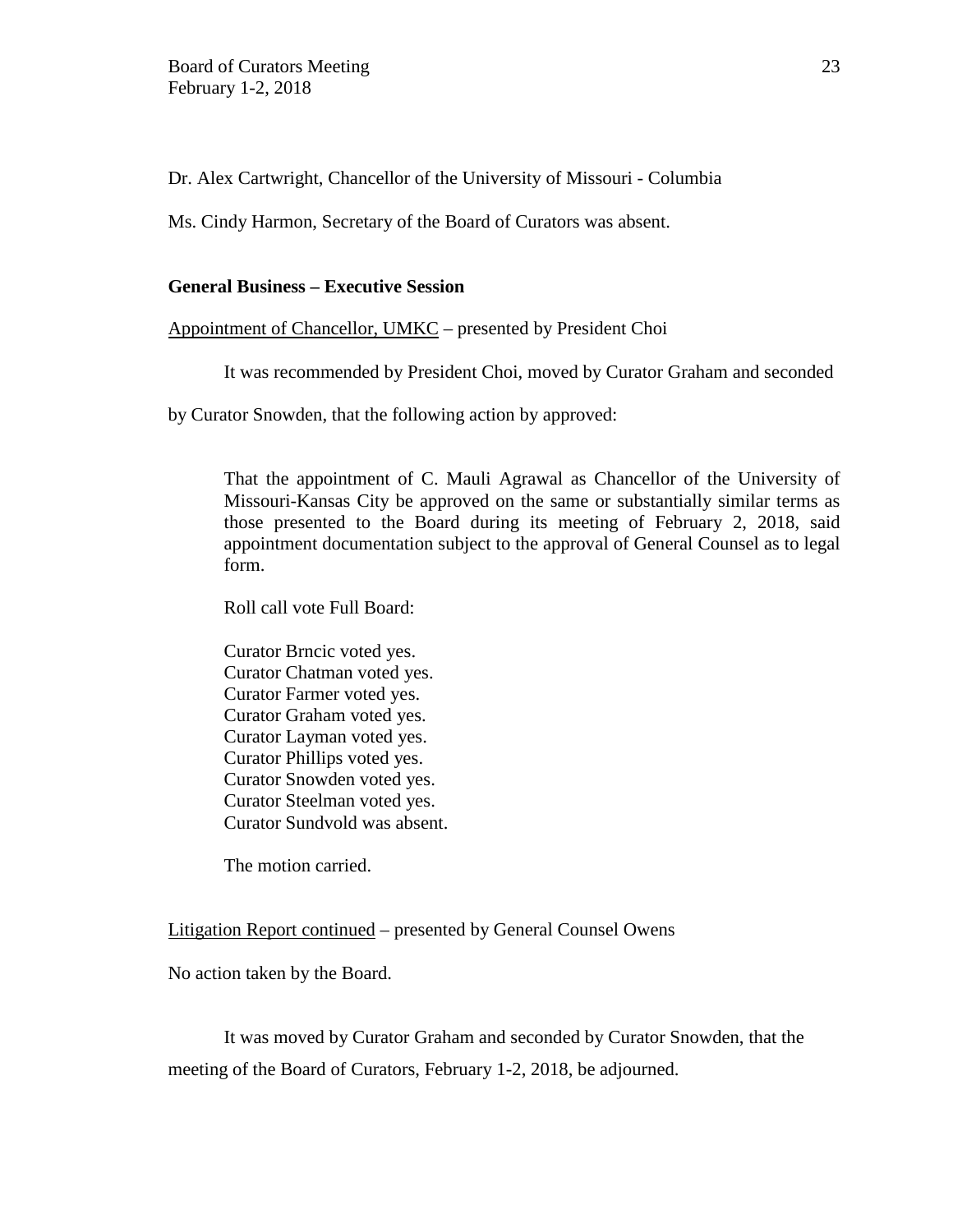Dr. Alex Cartwright, Chancellor of the University of Missouri - Columbia

Ms. Cindy Harmon, Secretary of the Board of Curators was absent.

## **General Business – Executive Session**

Appointment of Chancellor, UMKC – presented by President Choi

It was recommended by President Choi, moved by Curator Graham and seconded

by Curator Snowden, that the following action by approved:

That the appointment of C. Mauli Agrawal as Chancellor of the University of Missouri-Kansas City be approved on the same or substantially similar terms as those presented to the Board during its meeting of February 2, 2018, said appointment documentation subject to the approval of General Counsel as to legal form.

Roll call vote Full Board:

Curator Brncic voted yes. Curator Chatman voted yes. Curator Farmer voted yes. Curator Graham voted yes. Curator Layman voted yes. Curator Phillips voted yes. Curator Snowden voted yes. Curator Steelman voted yes. Curator Sundvold was absent.

The motion carried.

Litigation Report continued – presented by General Counsel Owens

No action taken by the Board.

It was moved by Curator Graham and seconded by Curator Snowden, that the meeting of the Board of Curators, February 1-2, 2018, be adjourned.